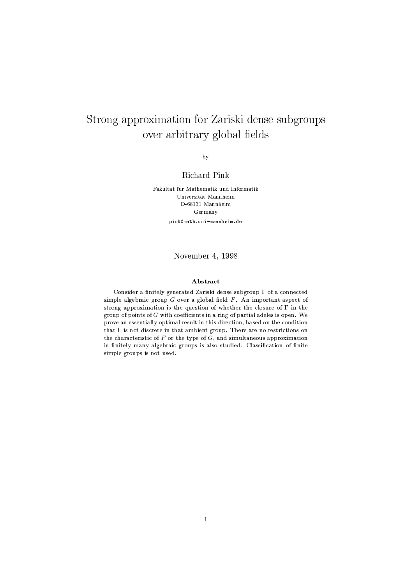# Strong approximation for Zariski dense subgroups over arbitrary global fields

 $_{\rm by}$ 

# Richard Pink

Fakultät für Mathematik und Informatik Universität Mannheim D-68131 Mannheim Germany pink@math.uni-mannheim.de

## November 4, 1998

### Abstract

Consider a finitely generated Zariski dense subgroup  $\Gamma$  of a connected simple algebraic group  $G$  over a global field  $F$ . An important aspect of strong approximation is the question of whether the closure of  $\Gamma$  in the group of points of  $G$  with coefficients in a ring of partial adeles is open. We prove an essentially optimal result in this direction, based on the condition that  $\Gamma$  is not discrete in that ambient group. There are no restrictions on the characteristic of F or the type of  $\tilde{G}$ , and simultaneous approximation in finitely many algebraic groups is also studied. Classification of finite simple groups is not used.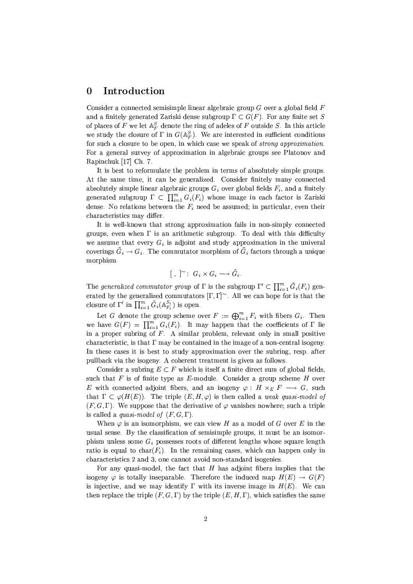#### $\boldsymbol{0}$ Introduction

Consider a connected semisimple linear algebraic group  $G$  over a global field  $F$ and a finitely generated Zariski dense subgroup  $\Gamma \subset G(F)$ . For any finite set S of places of F we let  $\mathbb{A}_F^S$  denote the ring of adeles of F outside S. In this article we study the closure of  $\Gamma$  in  $G(\mathbb{A}_F^S)$ . We are interested in sufficient conditions for such a closure to be open, in which case we speak of *strong approximation*. For a general survey of approximation in algebraic groups see Platonov and Rapinchuk [17] Ch. 7.

It is best to reformulate the problem in terms of absolutely simple groups. At the same time, it can be generalized. Consider finitely many connected absolutely simple linear algebraic groups  $G_i$  over global fields  $F_i$ , and a finitely generated subgroup  $\Gamma \subset \prod_{i=1}^m G_i(F_i)$  whose image in each factor is Zariski dense. No relations between the  $F_i$  need be assumed; in particular, even their characteristics may differ.

It is well-known that strong approximation fails in non-simply connected groups, even when  $\Gamma$  is an arithmetic subgroup. To deal with this difficulty we assume that every  $G_i$  is adjoint and study approximation in the univeral coverings  $\tilde{G}_i \to G_i$ . The commutator morphism of  $\tilde{G}_i$  factors through a unique morphism

$$
[ , ]^{\sim} : G_i \times G_i \longrightarrow \tilde{G}_i.
$$

The generalized commutator group of  $\Gamma$  is the subgroup  $\Gamma' \subset \prod_{i=1}^m \tilde{G}_i(F_i)$  generated by the generalized commutators  $[\Gamma, \Gamma]$ <sup>~</sup>. All we can hope for is that the closure of  $\Gamma'$  in  $\prod_{i=1}^m \tilde{G}_i(\mathbb{A}^{S_i}_{F_i})$  is open.

Let G denote the group scheme over  $F := \bigoplus_{i=1}^m F_i$  with fibers  $G_i$ . Then we have  $G(F) = \prod_{i=1}^{m} G_i(F_i)$ . It may happen that the coefficients of  $\Gamma$  lie in a proper subring of  $F$ . A similar problem, relevant only in small positive characteristic, is that  $\Gamma$  may be contained in the image of a non-central isogeny. In these cases it is best to study approximation over the subring, resp. after pullback via the isogeny. A coherent treatment is given as follows.

Consider a subring  $E \subset F$  which is itself a finite direct sum of global fields. such that  $F$  is of finite type as  $E$ -module. Consider a group scheme  $H$  over E with connected adjoint fibers, and an isogeny  $\varphi : H \times_E F \longrightarrow G$ , such that  $\Gamma \subset \varphi(H(E))$ . The triple  $(E, H, \varphi)$  is then called a *weak quasi-model of*  $(F, G, \Gamma)$ . We suppose that the derivative of  $\varphi$  vanishes nowhere; such a triple is called a *quasi-model of*  $(F, G, \Gamma)$ .

When  $\varphi$  is an isomorphism, we can view H as a model of G over E in the usual sense. By the classification of semisimple groups, it must be an isomorphism unless some  $G_i$  possesses roots of different lengths whose square length ratio is equal to  $char(F_i)$ . In the remaining cases, which can happen only in characteristics 2 and 3, one cannot avoid non-standard isogenies.

For any quasi-model, the fact that  $H$  has adjoint fibers implies that the isogeny  $\varphi$  is totally inseparable. Therefore the induced map  $H(E) \to G(F)$ is injective, and we may identify  $\Gamma$  with its inverse image in  $H(E)$ . We can then replace the triple  $(F, G, \Gamma)$  by the triple  $(E, H, \Gamma)$ , which satisfies the same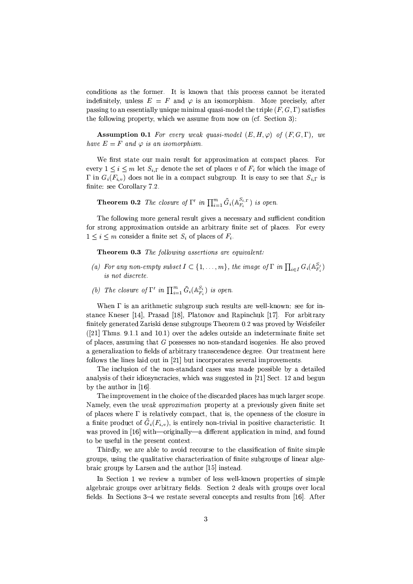conditions as the former. It is known that this process cannot be iterated indefinitely, unless  $E = F$  and  $\varphi$  is an isomorphism. More precisely, after passing to an essentially unique minimal quasi-model the triple  $(F, G, \Gamma)$  satisfies the following property, which we assume from now on (cf. Section 3):

**Assumption 0.1** For every weak quasi-model  $(E, H, \varphi)$  of  $(F, G, \Gamma)$ , we have  $E = F$  and  $\varphi$  is an isomorphism.

We first state our main result for approximation at compact places. For every  $1 \leq i \leq m$  let  $S_{i,\Gamma}$  denote the set of places v of  $F_i$  for which the image of  $\Gamma$  in  $G_i(F_{i,v})$  does not lie in a compact subgroup. It is easy to see that  $S_{i,\Gamma}$  is finite: see Corollary 7.2.

**Theorem 0.2** The closure of  $\Gamma'$  in  $\prod_{i=1}^{m} \tilde{G}_i(\mathbb{A}_{F_i}^{S_{i,\Gamma}})$  is open.

The following more general result gives a necessary and sufficient condition for strong approximation outside an arbitrary finite set of places. For every  $1 \leq i \leq m$  consider a finite set  $S_i$  of places of  $F_i$ .

**Theorem 0.3** The following assertions are equivalent:

- (a) For any non-empty subset  $I \subset \{1,\ldots,m\}$ , the image of  $\Gamma$  in  $\prod_{i \in I} G_i(\mathbb{A}_{F_i}^{S_i})$ is not discrete.
- (b) The closure of  $\Gamma'$  in  $\prod_{i=1}^m \tilde{G}_i(\mathbb{A}^{S_i}_{F_i})$  is open.

When  $\Gamma$  is an arithmetic subgroup such results are well-known: see for instance Kneser [14], Prasad [18], Platonov and Rapinchuk [17]. For arbitrary finitely generated Zariski dense subgroups Theorem 0.2 was proved by Weisfeiler  $([21]$  Thms. 9.1.1 and 10.1) over the adeles outside an indeterminate finite set of places, assuming that  $G$  possesses no non-standard isogenies. He also proved a generalization to fields of arbitrary transcendence degree. Our treatment here follows the lines laid out in [21] but incorporates several improvements.

The inclusion of the non-standard cases was made possible by a detailed analysis of their idiosyncracies, which was suggested in [21] Sect. 12 and begun by the author in  $[16]$ .

The improvement in the choice of the discarded places has much larger scope. Namely, even the *weak approximation* property at a previously given finite set of places where  $\Gamma$  is relatively compact, that is, the openness of the closure in a finite product of  $\tilde{G}_i(F_{i,v})$ , is entirely non-trivial in positive characteristic. It was proved in [16] with—originally—a different application in mind, and found to be useful in the present context.

Thirdly, we are able to avoid recourse to the classification of finite simple groups, using the qualitative characterization of finite subgroups of linear algebraic groups by Larsen and the author [15] instead.

In Section 1 we review a number of less well-known properties of simple algebraic groups over arbitrary fields. Section 2 deals with groups over local fields. In Sections 3-4 we restate several concepts and results from [16]. After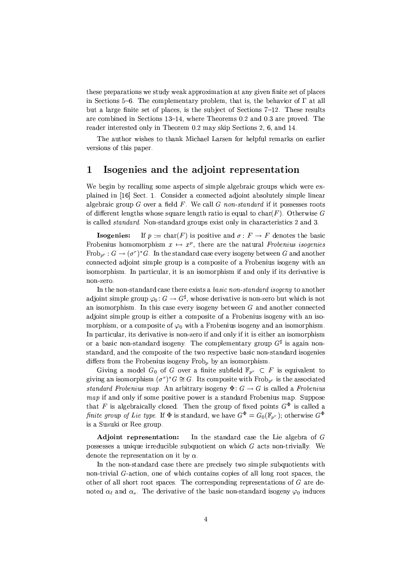these preparations we study weak approximation at any given finite set of places in Sections 5–6. The complementary problem, that is, the behavior of  $\Gamma$  at all but a large finite set of places, is the subject of Sections 7-12. These results are combined in Sections 13-14, where Theorems 0.2 and 0.3 are proved. The reader interested only in Theorem 0.2 may skip Sections 2, 6, and 14.

The author wishes to thank Michael Larsen for helpful remarks on earlier versions of this paper.

#### $\mathbf{1}$ Isogenies and the adjoint representation

We begin by recalling some aspects of simple algebraic groups which were explained in [16] Sect. 1. Consider a connected adjoint absolutely simple linear algebraic group  $G$  over a field  $F$ . We call  $G$  non-standard if it possesses roots of different lengths whose square length ratio is equal to  $char(F)$ . Otherwise G is called *standard*. Non-standard groups exist only in characteristics 2 and 3.

If  $p := \text{char}(F)$  is positive and  $\sigma: F \to F$  denotes the basic Isogenies: Frobenius homomorphism  $x \mapsto x^p$ , there are the natural Frobenius isogenies  $\text{Frob}_{n^r}: G \to (\sigma^r)^*G$ . In the standard case every isogeny between G and another connected adjoint simple group is a composite of a Frobenius isogeny with an isomorphism. In particular, it is an isomorphism if and only if its derivative is non-zero.

In the non-standard case there exists a *basic non-standard isogeny* to another adjoint simple group  $\varphi_0: G \to G^{\sharp}$ , whose derivative is non-zero but which is not an isomorphism. In this case every isogeny between  $G$  and another connected adjoint simple group is either a composite of a Frobenius isogeny with an isomorphism, or a composite of  $\varphi_0$  with a Frobenius isogeny and an isomorphism. In particular, its derivative is non-zero if and only if it is either an isomorphism or a basic non-standard isogeny. The complementary group  $G^{\sharp}$  is again nonstandard, and the composite of the two respective basic non-standard isogenies differs from the Frobenius isogeny Frob<sub>n</sub> by an isomorphism.

Giving a model  $G_0$  of G over a finite subfield  $\mathbb{F}_{p^r} \subset F$  is equivalent to giving an isomorphism  $(\sigma^r)^* G \cong G$ . Its composite with  $\text{Frob}_{n^r}$  is the associated standard Frobenius map. An arbitrary isogeny  $\Phi: G \to G$  is called a Frobenius *map* if and only if some positive power is a standard Frobenius map. Suppose that F is algebraically closed. Then the group of fixed points  $G^{\Phi}$  is called a finite group of Lie type. If  $\Phi$  is standard, we have  $G^{\Phi} = G_0(\mathbb{F}_{p^r})$ ; otherwise  $G^{\Phi}$ is a Suzuki or Ree group

Adjoint representation: In the standard case the Lie algebra of  $G$ possesses a unique irreducible subquotient on which  $G$  acts non-trivially. We denote the representation on it by  $\alpha$ .

In the non-standard case there are precisely two simple subquotients with non-trivial  $G$ -action, one of which contains copies of all long root spaces, the other of all short root spaces. The corresponding representations of  $G$  are denoted  $\alpha_{\ell}$  and  $\alpha_{s}$ . The derivative of the basic non-standard isogeny  $\varphi_{0}$  induces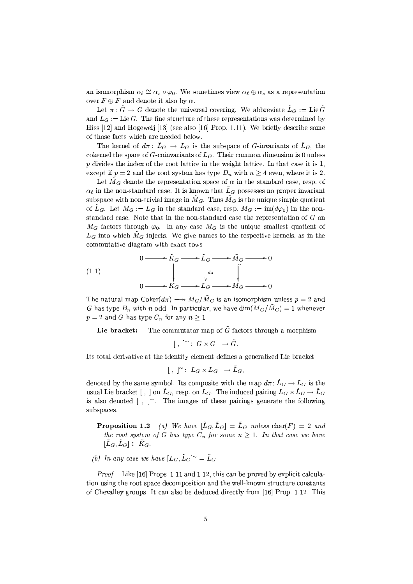an isomorphism  $\alpha_{\ell} \cong \alpha_s \circ \varphi_0$ . We sometimes view  $\alpha_{\ell} \oplus \alpha_s$  as a representation over  $F \oplus F$  and denote it also by  $\alpha$ .

Let  $\pi: \tilde{G} \to G$  denote the universal covering. We abbreviate  $\tilde{L}_G := \text{Lie } \tilde{G}$ and  $L_G := \text{Lie } G$ . The fine structure of these representations was determined by Hiss [12] and Hogeweij [13] (see also [16] Prop. 1.11). We briefly describe some of those facts which are needed below.

The kernel of  $d\pi$ :  $\tilde{L}_G \to L_G$  is the subspace of G-invariants of  $\tilde{L}_G$ , the cokernel the space of G-coinvariants of  $L_G$ . Their common dimension is 0 unless  $p$  divides the index of the root lattice in the weight lattice. In that case it is 1, except if  $p = 2$  and the root system has type  $D_n$  with  $n \geq 4$  even, where it is 2.

Let  $\tilde{M}_G$  denote the representation space of  $\alpha$  in the standard case, resp. of  $\alpha_{\ell}$  in the non-standard case. It is known that  $\tilde{L}_G$  possesses no proper invariant subspace with non-trivial image in  $\tilde{M}_G$ . Thus  $\tilde{M}_G$  is the unique simple quotient of  $\tilde{L}_G$ . Let  $M_G := L_G$  in the standard case, resp.  $M_G := \text{im}(d\varphi_0)$  in the nonstandard case. Note that in the non-standard case the representation of G on  $M_G$  factors through  $\varphi_0$ . In any case  $M_G$  is the unique smallest quotient of  $L_G$  into which  $\tilde{M}_G$  injects. We give names to the respective kernels, as in the commutative diagram with exact rows

(1.1)  
\n
$$
0 \longrightarrow \tilde{K}_G \longrightarrow \tilde{L}_G \longrightarrow \tilde{M}_G \longrightarrow 0
$$
\n
$$
\downarrow d\pi \qquad \qquad \downarrow d\pi \qquad \qquad \downarrow d\pi
$$
\n
$$
0 \longrightarrow K_G \longrightarrow L_G \longrightarrow M_G \longrightarrow 0.
$$

The natural map Coker $(d\pi) \longrightarrow M_G/\tilde{M}_G$  is an isomorphism unless  $p = 2$  and G has type  $B_n$  with n odd. In particular, we have  $\dim(M_G/\tilde{M}_G)=1$  whenever  $p = 2$  and G has type  $C_n$  for any  $n \geq 1$ .

The commutator map of  $\tilde{G}$  factors through a morphism Lie bracket:

$$
[ , ]^{\sim} : G \times G \longrightarrow \tilde{G}.
$$

Its total derivative at the identity element defines a generalized Lie bracket

$$
[ , ]^{\sim} \colon L_G \times L_G \longrightarrow \tilde{L}_G,
$$

denoted by the same symbol. Its composite with the map  $d\pi: \tilde{L}_G \to L_G$  is the usual Lie bracket [, ] on  $\tilde{L}_G$ , resp. on  $L_G$ . The induced pairing  $L_G \times \tilde{L}_G \to \tilde{L}_G$ is also denoted  $[ , ]^{\sim}$ . The images of these pairings generate the following subspaces

**Proposition 1.2** (a) We have  $[\tilde{L}_G, \tilde{L}_G] = \tilde{L}_G$  unless char(F) = 2 and the root system of G has type  $C_n$  for some  $n \geq 1$ . In that case we have  $[\tilde{L}_G, \tilde{L}_G] \subset \tilde{K}_G.$ 

(b) In any case we have 
$$
[L_G, \tilde{L}_G]^{\sim} = \tilde{L}_G
$$
.

*Proof.* Like [16] Props. 1.11 and 1.12, this can be proved by explicit calculation using the root space decomposition and the well-known structure constants of Chevalley groups. It can also be deduced directly from [16] Prop. 1.12. This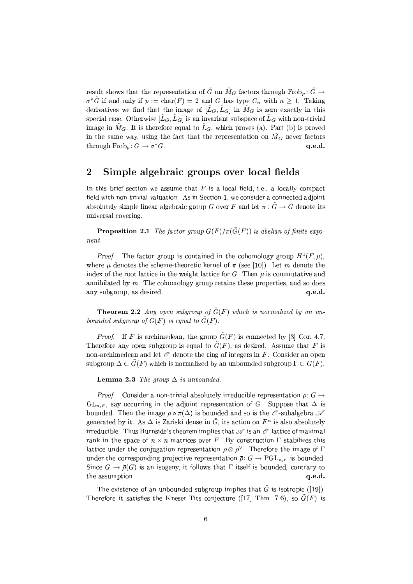result shows that the representation of  $\tilde{G}$  on  $\tilde{M}_G$  factors through Frob<sub>p</sub>:  $\tilde{G} \rightarrow$  $\sigma^* \tilde{G}$  if and only if  $p := \text{char}(F) = 2$  and G has type  $C_n$  with  $n \geq 1$ . Taking derivatives we find that the image of  $[\tilde{L}_G, \tilde{L}_G]$  in  $\tilde{M}_G$  is zero exactly in this special case. Otherwise  $[\tilde{L}_G, \tilde{L}_G]$  is an invariant subspace of  $\tilde{L}_G$  with non-trivial image in  $\tilde{M}_G$ . It is therefore equal to  $\tilde{L}_G$ , which proves (a). Part (b) is proved in the same way, using the fact that the representation on  $\tilde{M}_G$  never factors through  $Frob_p: G \to \sigma^*G$ .  $q.e.d.$ 

#### $\overline{2}$ Simple algebraic groups over local fields

In this brief section we assume that  $F$  is a local field, i.e., a locally compact field with non-trivial valuation. As in Section 1, we consider a connected adjoint absolutely simple linear algebraic group G over F and let  $\pi$ :  $\tilde{G} \to G$  denote its universal covering.

**Proposition 2.1** The factor group  $G(F)/\pi(\tilde{G}(F))$  is abelian of finite expo $nent$ 

*Proof.* The factor group is contained in the cohomology group  $H^1(F,\mu)$ , where  $\mu$  denotes the scheme-theoretic kernel of  $\pi$  (see [10]). Let m denote the index of the root lattice in the weight lattice for G. Then  $\mu$  is commutative and annihilated by  $m$ . The cohomology group retains these properties, and so does any subgroup, as desired. q.e.d.

**Theorem 2.2** Any open subgroup of  $\tilde{G}(F)$  which is normalized by an unbounded subgroup of  $G(F)$  is equal to  $\tilde{G}(F)$ .

*Proof.* If F is archimedean, the group  $\tilde{G}(F)$  is connected by [3] Cor. 4.7. Therefore any open subgroup is equal to  $\tilde{G}(F)$ , as desired. Assume that F is non-archimedean and let  $O$  denote the ring of integers in F. Consider an open subgroup  $\Delta \subset \tilde{G}(F)$  which is normalized by an unbounded subgroup  $\Gamma \subset G(F)$ .

**Lemma 2.3** The group  $\Delta$  is unbounded.

*Proof.* Consider a non-trivial absolutely irreducible representation  $\rho: G \rightarrow$  $GL_{n,F}$ , say occurring in the adjoint representation of G. Suppose that  $\Delta$  is bounded. Then the image  $\rho \circ \pi(\Delta)$  is bounded and so is the  $\mathcal O$ -subalgebra  $\mathcal A$ generated by it. As  $\Delta$  is Zariski dense in  $\tilde{G}$ , its action on  $F^n$  is also absolutely irreducible. Thus Burnside's theorem implies that  $\mathscr A$  is an  $\mathscr O$ -lattice of maximal rank in the space of  $n \times n$ -matrices over F. By construction  $\Gamma$  stabilizes this lattice under the conjugation representation  $\rho \otimes \rho^{\vee}$ . Therefore the image of  $\Gamma$ under the corresponding projective representation  $\bar{\rho}: G \to \mathrm{PGL}_{n,F}$  is bounded. Since  $G \to \bar{\rho}(G)$  is an isogeny, it follows that  $\Gamma$  itself is bounded, contrary to the assumption.  $\alpha$ .e.d.

The existence of an unbounded subgroup implies that  $\tilde{G}$  is isotropic ([19]). Therefore it satisfies the Kneser-Tits conjecture ([17] Thm. 7.6), so  $G(F)$  is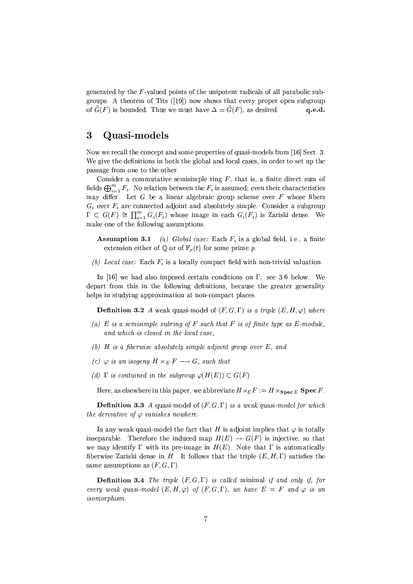generated by the  $F$ -valued points of the unipotent radicals of all parabolic subgroups. A theorem of Tits  $([19])$  now shows that every proper open subgroup of  $\tilde{G}(F)$  is bounded. Thus we must have  $\Delta = \tilde{G}(F)$ , as desired. q.e.d.

#### 3 Quasi-models

Now we recall the concept and some properties of quasi-models from [16] Sect. 3. We give the definitions in both the global and local cases, in order to set up the passage from one to the other.

Consider a commutative semisimple ring  $F$ , that is, a finite direct sum of fields  $\bigoplus_{i=1}^m F_i$ . No relation between the  $F_i$  is assumed; even their characteristics may differ. Let  $G$  be a linear algebraic group scheme over  $F$  whose fibers  $G_i$  over  $F_i$  are connected adjoint and absolutely simple. Consider a subgroup  $\Gamma \subset G(F) \cong \prod_{i=1}^m G_i(F_i)$  whose image in each  $G_i(F_i)$  is Zariski dense. We make one of the following assumptions.

- **Assumption 3.1** (a) Global case: Each  $F_i$  is a global field, i.e., a finite extension either of  $\mathbb{Q}$  or of  $\mathbb{F}_n(t)$  for some prime p.
- (b) Local case: Each  $F_i$  is a locally compact field with non-trivial valuation.

In [16] we had also imposed certain conditions on  $\Gamma$ : see 3.6 below. We depart from this in the following definitions, because the greater generality helps in studying approximation at non-compact places.

**Definition 3.2** A weak quasi-model of  $(F, G, \Gamma)$  is a triple  $(E, H, \varphi)$  where

- (a) E is a semisimple subring of F such that F is of finite type as E-module, and which is closed in the local case.
- (b)  $H$  is a fiberwise absolutely simple adjoint group over  $E$ , and
- (c)  $\varphi$  is an isogeny  $H \times_E F \longrightarrow G$ , such that
- (d)  $\Gamma$  is contained in the subgroup  $\varphi(H(E)) \subset G(F)$ .

Here, as elsewhere in this paper, we abbreviate  $H \times_E F := H \times_{\text{Spec } E} \text{Spec } F$ .

**Definition 3.3** A quasi-model of  $(F, G, \Gamma)$  is a weak quasi-model for which the derivative of  $\varphi$  vanishes nowhere.

In any weak quasi-model the fact that H is adjoint implies that  $\varphi$  is totally inseparable. Therefore the induced map  $H(E) \rightarrow G(F)$  is injective, so that we may identify  $\Gamma$  with its pre-image in  $H(E)$ . Note that  $\Gamma$  is automatically fiberwise Zariski dense in  $H$ . It follows that the triple  $(E, H, \Gamma)$  satisfies the same assumptions as  $(F, G, \Gamma)$ .

**Definition 3.4** The triple  $(F, G, \Gamma)$  is called minimal if and only if, for every weak quasi-model  $(E, H, \varphi)$  of  $(F, G, \Gamma)$ , we have  $E = F$  and  $\varphi$  is an *isomorphism.*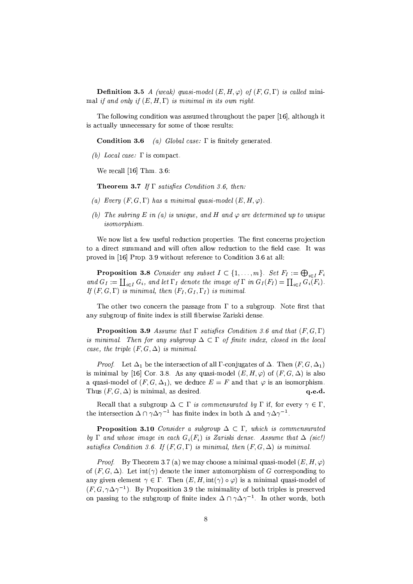**Definition 3.5** A (weak) quasi-model  $(E, H, \varphi)$  of  $(F, G, \Gamma)$  is called minimal if and only if  $(E, H, \Gamma)$  is minimal in its own right.

The following condition was assumed throughout the paper [16], although it is actually unnecessary for some of those results:

Condition 3.6 (a) Global case:  $\Gamma$  is finitely generated.

(b) Local case:  $\Gamma$  is compact.

We recall  $[16]$  Thm. 3.6:

**Theorem 3.7** If  $\Gamma$  satisfies Condition 3.6, then:

- (a) Every  $(F, G, \Gamma)$  has a minimal quasi-model  $(E, H, \varphi)$ .
- (b) The subring E in (a) is unique, and H and  $\varphi$  are determined up to unique isomorphism.

We now list a few useful reduction properties. The first concerns projection to a direct summand and will often allow reduction to the field case. It was proved in [16] Prop. 3.9 without reference to Condition 3.6 at all:

**Proposition 3.8** Consider any subset  $I \subset \{1, ..., m\}$ . Set  $F_I := \bigoplus_{i \in I} F_i$ and  $G_I := \coprod_{i \in I} G_i$ , and let  $\Gamma_I$  denote the image of  $\Gamma$  in  $G_I(F_I) = \prod_{i \in I} G_i(F_i)$ . If  $(F, G, \Gamma)$  is minimal, then  $(F_I, G_I, \Gamma_I)$  is minimal.

The other two concern the passage from  $\Gamma$  to a subgroup. Note first that any subgroup of finite index is still fiberwise Zariski dense.

**Proposition 3.9** Assume that  $\Gamma$  satisfies Condition 3.6 and that  $(F, G, \Gamma)$ is minimal. Then for any subgroup  $\Delta \subset \Gamma$  of finite index, closed in the local case, the triple  $(F, G, \Delta)$  is minimal.

*Proof.* Let  $\Delta_1$  be the intersection of all  $\Gamma$ -conjugates of  $\Delta$ . Then  $(F, G, \Delta_1)$ is minimal by [16] Cor. 3.8. As any quasi-model  $(E, H, \varphi)$  of  $(F, G, \Delta)$  is also a quasi-model of  $(F, G, \Delta_1)$ , we deduce  $E = F$  and that  $\varphi$  is an isomorphism. Thus  $(F, G, \Delta)$  is minimal, as desired.  $q.e.d.$ 

Recall that a subgroup  $\Delta \subset \Gamma$  is commensurated by  $\Gamma$  if, for every  $\gamma \in \Gamma$ , the intersection  $\Delta \cap \gamma \Delta \gamma^{-1}$  has finite index in both  $\Delta$  and  $\gamma \Delta \gamma^{-1}$ .

**Proposition 3.10** Consider a subgroup  $\Delta \subset \Gamma$ , which is commensurated by  $\Gamma$  and whose image in each  $G_i(F_i)$  is Zariski dense. Assume that  $\Delta$  (sic!) satisfies Condition 3.6. If  $(F, G, \Gamma)$  is minimal, then  $(F, G, \Delta)$  is minimal.

*Proof.* By Theorem 3.7 (a) we may choose a minimal quasi-model  $(E, H, \varphi)$ of  $(F, G, \Delta)$ . Let  $\text{int}(\gamma)$  denote the inner automorphism of G corresponding to any given element  $\gamma \in \Gamma$ . Then  $(E, H, int(\gamma) \circ \varphi)$  is a minimal quasi-model of  $(F, G, \gamma \Delta \gamma^{-1})$ . By Proposition 3.9 the minimality of both triples is preserved on passing to the subgroup of finite index  $\Delta \cap \gamma \Delta \gamma^{-1}$ . In other words, both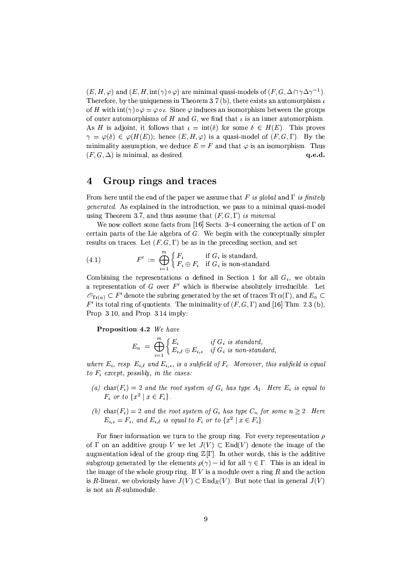$(E, H, \varphi)$  and  $(E, H, \text{int}(\gamma) \circ \varphi)$  are minimal quasi-models of  $(F, G, \Delta \cap \gamma \Delta \gamma^{-1})$ . Therefore, by the uniqueness in Theorem 3.7 (b), there exists an automorphism  $\iota$ of H with  $\text{int}(\gamma) \circ \varphi = \varphi \circ \iota$ . Since  $\varphi$  induces an isomorphism between the groups of outer automorphisms of H and G, we find that  $\iota$  is an inner automorphism. As H is adjoint, it follows that  $\iota = \text{int}(\delta)$  for some  $\delta \in H(E)$ . This proves  $\gamma = \varphi(\delta) \in \varphi(H(E));$  hence  $(E, H, \varphi)$  is a quasi-model of  $(F, G, \Gamma)$ . By the minimality assumption, we deduce  $E = F$  and that  $\varphi$  is an isomorphism. Thus  $(F, G, \Delta)$  is minimal, as desired. q.e.d.

#### Group rings and traces  $\overline{\mathbf{4}}$

From here until the end of the paper we assume that F is global and  $\Gamma$  is finitely *generated.* As explained in the introduction, we pass to a minimal quasi-model using Theorem 3.7, and thus assume that  $(F, G, \Gamma)$  is minimal.

We now collect some facts from [16] Sects, 3-4 concerning the action of  $\Gamma$  on certain parts of the Lie algebra of  $G$ . We begin with the conceptually simpler results on traces. Let  $(F, G, \Gamma)$  be as in the preceding section, and set

(4.1) 
$$
F' := \bigoplus_{i=1}^{m} \begin{cases} F_i & \text{if } G_i \text{ is standard,} \\ F_i \oplus F_i & \text{if } G_i \text{ is non-standard.} \end{cases}
$$

Combining the representations  $\alpha$  defined in Section 1 for all  $G_i$ , we obtain a representation of  $G$  over  $F'$  which is fiberwise absolutely irreducible. Let  $\mathscr{O}_{\text{Tr}(\alpha)} \subset F'$  denote the subring generated by the set of traces  $\text{Tr} \alpha(\Gamma)$ , and  $E_{\alpha} \subset$  $F'$  its total ring of quotients. The minimality of  $(F, G, \Gamma)$  and [16] Thm. 2.3 (b), Prop. 3.10, and Prop. 3.14 imply:

Proposition 4.2 We have

$$
E_{\alpha} = \bigoplus_{i=1}^{m} \begin{cases} E_i & \text{if } G_i \text{ is standard,} \\ E_{i,\ell} \oplus E_{i,s} & \text{if } G_i \text{ is non-standard,} \end{cases}
$$

where  $E_i$ , resp.  $E_{i,\ell}$  and  $E_{i,s}$ , is a subfield of  $F_i$ . Moreover, this subfield is equal to  $F_i$  except, possibly, in the cases:

- (a) char( $F_i$ ) = 2 and the root system of  $G_i$  has type  $A_1$ . Here  $E_i$  is equal to  $F_i$  or to  $\{x^2 \mid x \in F_i\}.$
- (b) char( $F_i$ ) = 2 and the root system of  $G_i$  has type  $C_n$  for some  $n \geq 2$ . Here  $E_{i,s} = F_i$ , and  $E_{i,\ell}$  is equal to  $F_i$  or to  $\{x^2 \mid x \in F_i\}$ .

For finer information we turn to the group ring. For every representation  $\rho$ of  $\Gamma$  on an additive group V we let  $J(V) \subset End(V)$  denote the image of the augmentation ideal of the group ring  $\mathbb{Z}[\Gamma]$ . In other words, this is the additive subgroup generated by the elements  $\rho(\gamma)$  – id for all  $\gamma \in \Gamma$ . This is an ideal in the image of the whole group ring. If  $V$  is a module over a ring  $R$  and the action is R-linear, we obviously have  $J(V) \subset \text{End}_R(V)$ . But note that in general  $J(V)$ is not an  $R$ -submodule.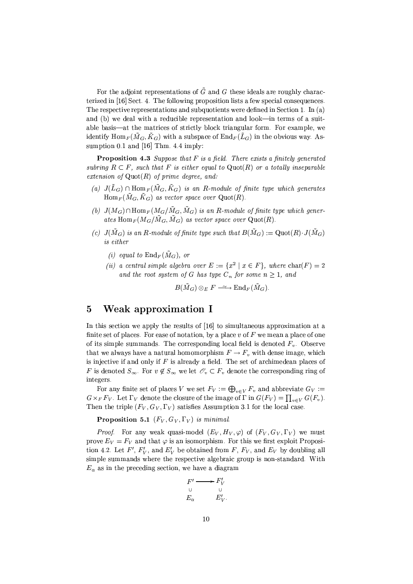For the adjoint representations of  $\tilde{G}$  and G these ideals are roughly characterized in [16] Sect. 4. The following proposition lists a few special consequences. The respective representations and subquotients were defined in Section 1. In (a) and (b) we deal with a reducible representation and look—in terms of a suitable basis—at the matrices of strictly block triangular form. For example, we identify  $\text{Hom}_F(\tilde{M}_G, \tilde{K}_G)$  with a subspace of  $\text{End}_F(\tilde{L}_G)$  in the obvious way. Assumption 0.1 and [16] Thm. 4.4 imply:

**Proposition 4.3** Suppose that  $F$  is a field. There exists a finitely generated subring  $R \subset F$ , such that F is either equal to Quot(R) or a totally inseparable extension of  $Quot(R)$  of prime degree, and:

- (a)  $J(\tilde{L}_G) \cap \text{Hom}_F(\tilde{M}_G, \tilde{K}_G)$  is an R-module of finite type which generates  $\text{Hom}_F(\tilde{M}_G, \tilde{K}_G)$  as vector space over  $\text{Quot}(R)$ .
- (b)  $J(M_G) \cap \text{Hom}_F(M_G/\tilde{M}_G, \tilde{M}_G)$  is an R-module of finite type which generates  $\text{Hom}_F(M_G/\tilde{M}_G, \tilde{M}_G)$  as vector space over  $\text{Quot}(R)$ .
- (c)  $J(\tilde{M}_G)$  is an R-module of finite type such that  $B(\tilde{M}_G) := \mathrm{Quot}(R) \cdot J(\tilde{M}_G)$ is either
	- (i) equal to  $\text{End}_F(\tilde{M}_G)$ , or
	- (ii) a central simple algebra over  $E := \{x^2 | x \in F\}$ , where  $char(F) = 2$ and the root system of G has type  $C_n$  for some  $n \geq 1$ , and

$$
B(\tilde{M}_G) \otimes_E F \longrightarrow \text{End}_F(\tilde{M}_G).
$$

#### $\overline{5}$ Weak approximation I

In this section we apply the results of [16] to simultaneous approximation at a finite set of places. For ease of notation, by a place v of  $F$  we mean a place of one of its simple summands. The corresponding local field is denoted  $F_v$ . Observe that we always have a natural homomorphism  $F \to F_v$  with dense image, which is injective if and only if  $F$  is already a field. The set of archimedean places of F is denoted  $S_{\infty}$ . For  $v \notin S_{\infty}$  we let  $\mathscr{O}_{v} \subset F_{v}$  denote the corresponding ring of integers.

For any finite set of places V we set  $F_V := \bigoplus_{v \in V} F_v$  and abbreviate  $G_V :=$  $G \times_F F_V$ . Let  $\Gamma_V$  denote the closure of the image of  $\Gamma$  in  $G(F_V) = \prod_{v \in V} G(F_v)$ . Then the triple  $(F_V, G_V, \Gamma_V)$  satisfies Assumption 3.1 for the local case.

**Proposition 5.1**  $(F_V, G_V, \Gamma_V)$  is minimal.

*Proof.* For any weak quasi-model  $(E_V, H_V, \varphi)$  of  $(F_V, G_V, \Gamma_V)$  we must prove  $E_V = F_V$  and that  $\varphi$  is an isomorphism. For this we first exploit Proposition 4.2. Let F',  $F'_V$ , and  $E'_V$  be obtained from F,  $F_V$ , and  $E_V$  by doubling all simple summands where the respective algebraic group is non-standard. With  $E_{\alpha}$  as in the preceding section, we have a diagram

$$
F' \longrightarrow F'_{V}
$$
  
\n
$$
E_{\alpha} \qquad E'_{V}.
$$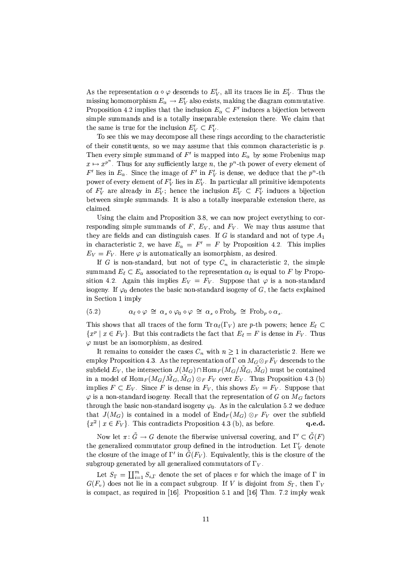As the representation  $\alpha \circ \varphi$  descends to  $E_V'$ , all its traces lie in  $E_V'$ . Thus the missing homomorphism  $E_{\alpha} \to E_V'$  also exists, making the diagram commutative. Proposition 4.2 implies that the inclusion  $E_{\alpha} \subset F'$  induces a bijection between simple summands and is a totally inseparable extension there. We claim that the same is true for the inclusion  $E'_{V} \subset F'_{V}$ .

To see this we may decompose all these rings according to the characteristic of their constituents, so we may assume that this common characteristic is  $p$ . Then every simple summand of F' is mapped into  $E_{\alpha}$  by some Frobenius map  $x \mapsto x^{p^n}$ . Thus for any sufficiently large n, the  $p^n$ -th power of every element of F' lies in  $E_{\alpha}$ . Since the image of F' in  $F'_{V}$  is dense, we deduce that the  $p^{n}$ -th power of every element of  $F_V$  lies in  $E_V'$ . In particular all primitive idempotents of  $F'_V$  are already in  $E'_V$ ; hence the inclusion  $E'_V \subset F'_V$  induces a bijection between simple summands. It is also a totally inseparable extension there, as claimed.

Using the claim and Proposition 3.8, we can now project everything to corresponding simple summands of  $F, E_V$ , and  $F_V$ . We may thus assume that they are fields and can distinguish cases. If G is standard and not of type  $A_1$ in characteristic 2, we have  $E_{\alpha} = F' = F$  by Proposition 4.2. This implies  $E_V = F_V$ . Here  $\varphi$  is automatically an isomorphism, as desired.

If G is non-standard, but not of type  $C_n$  in characteristic 2, the simple summand  $E_{\ell} \subset E_{\alpha}$  associated to the representation  $\alpha_{\ell}$  is equal to F by Proposition 4.2. Again this implies  $E_V = F_V$ . Suppose that  $\varphi$  is a non-standard isogeny. If  $\varphi_0$  denotes the basic non-standard isogeny of G, the facts explained in Section 1 imply

$$
(5.2) \qquad \alpha_{\ell} \circ \varphi \cong \alpha_s \circ \varphi_0 \circ \varphi \cong \alpha_s \circ \text{Frob}_p \cong \text{Frob}_p \circ \alpha_s
$$

This shows that all traces of the form  $\text{Tr}\,\alpha_\ell(\Gamma_V)$  are p-th powers; hence  $E_\ell \subset$  $\{x^p \mid x \in F_V\}$ . But this contradicts the fact that  $E_\ell = F$  is dense in  $F_V$ . Thus  $\varphi$  must be an isomorphism, as desired.

It remains to consider the cases  $C_n$  with  $n \geq 1$  in characteristic 2. Here we employ Proposition 4.3. As the representation of  $\Gamma$  on  $M_G \otimes_F F_V$  descends to the subfield  $E_V$ , the intersection  $J(M_G) \cap \text{Hom}_F(M_G/\tilde{M}_G, \tilde{M}_G)$  must be contained in a model of  $\text{Hom}_F(M_G/\tilde{M}_G, \tilde{M}_G) \otimes_F F_V$  over  $E_V$ . Thus Proposition 4.3 (b) implies  $F \subset E_V$ . Since F is dense in  $F_V$ , this shows  $E_V = F_V$ . Suppose that  $\varphi$  is a non-standard isogeny. Recall that the representation of G on  $M_G$  factors through the basic non-standard isogeny  $\varphi_0$ . As in the calculation 5.2 we deduce that  $J(M_G)$  is contained in a model of  $\text{End}_F(M_G) \otimes_F F_V$  over the subfield  $\{x^2 \mid x \in F_V\}$ . This contradicts Proposition 4.3 (b), as before.  $q.e.d.$ 

Now let  $\pi: \tilde{G} \to G$  denote the fiberwise universal covering, and  $\Gamma' \subset \tilde{G}(F)$ the generalized commutator group defined in the introduction. Let  $\Gamma'$ , denote the closure of the image of  $\Gamma'$  in  $\tilde{G}(F_V)$ . Equivalently, this is the closure of the subgroup generated by all generalized commutators of  $\Gamma_V$ .

Let  $S_{\Gamma} = \coprod_{i=1}^{m} S_{i,\Gamma}$  denote the set of places v for which the image of  $\Gamma$  in  $G(F_v)$  does not lie in a compact subgroup. If V is disjoint from  $S_{\Gamma}$ , then  $\Gamma_V$ is compact, as required in [16]. Proposition 5.1 and [16] Thm. 7.2 imply weak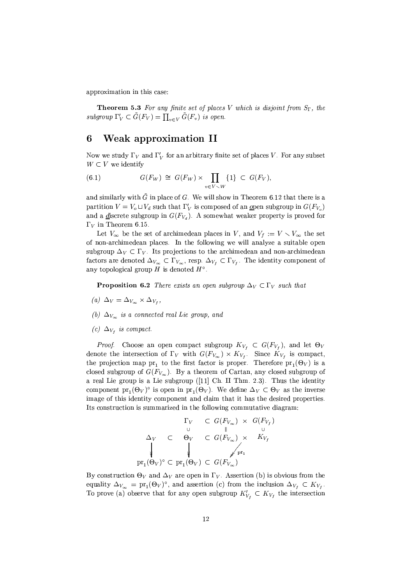approximation in this case:

**Theorem 5.3** For any finite set of places V which is disjoint from  $S_{\Gamma}$ , the subgroup  $\Gamma_V' \subset \tilde{G}(F_V) = \prod_{v \in V} \tilde{G}(F_v)$  is open.

#### Weak approximation II 6

Now we study  $\Gamma_V$  and  $\Gamma'_V$  for an arbitrary finite set of places V. For any subset  $W \subset V$  we identify

(6.1) 
$$
G(F_W) \cong G(F_W) \times \prod_{v \in V \setminus W} \{1\} \subset G(F_V),
$$

and similarly with  $\tilde{G}$  in place of G. We will show in Theorem 6.12 that there is a partition  $V = V_o \sqcup V_d$  such that  $\Gamma'_V$  is composed of an open subgroup in  $G(F_{V_o})$ and a *discrete subgroup* in  $G(F_{V_d})$ . A somewhat weaker property is proved for  $\Gamma_V$  in Theorem 6.15.

Let  $V_{\infty}$  be the set of archimedean places in V, and  $V_f := V \setminus V_{\infty}$  the set of non-archimedean places. In the following we will analyze a suitable open subgroup  $\Delta_V \subset \Gamma_V$ . Its projections to the archimedean and non-archimedean factors are denoted  $\Delta_{V_{\infty}} \subset \Gamma_{V_{\infty}}$ , resp.  $\Delta_{V_f} \subset \Gamma_{V_f}$ . The identity component of any topological group  $H$  is denoted  $H^{\circ}$ .

**Proposition 6.2** There exists an open subgroup  $\Delta_V \subset \Gamma_V$  such that

- (a)  $\Delta_V = \Delta_{V_{\infty}} \times \Delta_{V_{\infty}}$
- (b)  $\Delta_{V_{\infty}}$  is a connected real Lie group, and
- (c)  $\Delta_{V_f}$  is compact.

*Proof.* Choose an open compact subgroup  $K_{V_f} \subset G(F_{V_f})$ , and let  $\Theta_V$ denote the intersection of  $\Gamma_V$  with  $G(F_{V_{\infty}}) \times K_{V_f}$ . Since  $K_{V_f}$  is compact, the projection map  $pr_1$  to the first factor is proper. Therefore  $pr_1(\Theta_V)$  is a closed subgroup of  $G(F_{V_{\infty}})$ . By a theorem of Cartan, any closed subgroup of a real Lie group is a Lie subgroup ([11] Ch. II Thm. 2.3). Thus the identity component  $pr_1(\Theta_V)^\circ$  is open in  $pr_1(\Theta_V)$ . We define  $\Delta_V \subset \Theta_V$  as the inverse image of this identity component and claim that it has the desired properties. Its construction is summarized in the following commutative diagram:

$$
\begin{array}{ccccccc}\n & & & & \Gamma_{V} & \subset G(F_{V_{\infty}}) & \times & G(F_{V_{f}}) \\
 & & & & \Vdash & & \cup & \\
\Delta_{V} & \subset & \Theta_{V} & \subset G(F_{V_{\infty}}) & \times & K_{V_{f}} \\
 & & & & \Vdash & & \downarrow \\
\text{pr}_{1}(\Theta_{V})^{\circ} \subset & \text{pr}_{1}(\Theta_{V}) & \subset & G(F_{V_{\infty}})\n\end{array}
$$

By construction  $\Theta_V$  and  $\Delta_V$  are open in  $\Gamma_V$ . Assertion (b) is obvious from the equality  $\Delta_{V_{\infty}} = \text{pr}_1(\Theta_V)^{\circ}$ , and assertion (c) from the inclusion  $\Delta_{V_f} \subset K_{V_f}$ . To prove (a) observe that for any open subgroup  $K'_{V_f} \subset K_{V_f}$  the intersection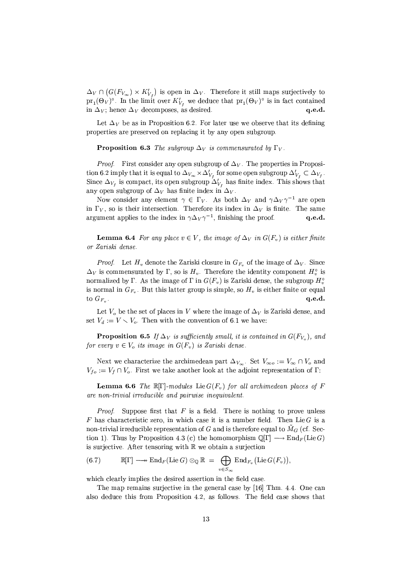$\Delta_V \cap (G(F_{V_{\infty}}) \times K'_{V_{\epsilon}})$  is open in  $\Delta_V$ . Therefore it still maps surjectively to  $\text{pr}_1(\Theta_V)^\circ$ . In the limit over  $K'_{V_t}$  we deduce that  $\text{pr}_1(\Theta_V)^\circ$  is in fact contained in  $\Delta_V$ ; hence  $\Delta_V$  decomposes, as desired. q.e.d.

Let  $\Delta_V$  be as in Proposition 6.2. For later use we observe that its defining properties are preserved on replacing it by any open subgroup.

**Proposition 6.3** The subgroup  $\Delta_V$  is commensurated by  $\Gamma_V$ .

*Proof.* First consider any open subgroup of  $\Delta_V$ . The properties in Proposition 6.2 imply that it is equal to  $\Delta_{V_{\infty}} \times \Delta'_{V_{\{t\}}}$  for some open subgroup  $\Delta'_{V_{\{t\}}} \subset \Delta_{V_{\{t\}}}$ . Since  $\Delta_{V_f}$  is compact, its open subgroup  $\Delta'_{V_f}$  has finite index. This shows that any open subgroup of  $\Delta_V$  has finite index in  $\Delta_V$ .

Now consider any element  $\gamma \in \Gamma_V$ . As both  $\Delta_V$  and  $\gamma \Delta_V \gamma^{-1}$  are open in  $\Gamma_V$ , so is their intersection. Therefore its index in  $\Delta_V$  is finite. The same argument applies to the index in  $\gamma \Delta_V \gamma^{-1}$ , finishing the proof.  $q.e.d.$ 

**Lemma 6.4** For any place  $v \in V$ , the image of  $\Delta_V$  in  $G(F_v)$  is either finite or Zariski dense.

*Proof.* Let  $H_v$  denote the Zariski closure in  $G_{F_v}$  of the image of  $\Delta_V$ . Since  $\Delta_V$  is commensurated by  $\Gamma$ , so is  $H_v$ . Therefore the identity component  $H_v^{\circ}$  is normalized by  $\Gamma$ . As the image of  $\Gamma$  in  $G(F_v)$  is Zariski dense, the subgroup  $H_v^{\circ}$ is normal in  $G_{F_n}$ . But this latter group is simple, so  $H_v$  is either finite or equal to  $G_{F_n}$ .  $q.e.d.$ 

Let  $V_o$  be the set of places in V where the image of  $\Delta_V$  is Zariski dense, and set  $V_d := V \setminus V_o$ . Then with the convention of 6.1 we have:

**Proposition 6.5** If  $\Delta_V$  is sufficiently small, it is contained in  $G(F_{V_0})$ , and for every  $v \in V_o$  its image in  $G(F_v)$  is Zariski dense.

Next we characterize the archimedean part  $\Delta_{V_{\infty}}$ . Set  $V_{\infty o} := V_{\infty} \cap V_{o}$  and  $V_{fo} := V_f \cap V_o$ . First we take another look at the adjoint representation of  $\Gamma$ :

**Lemma 6.6** The  $\mathbb{R}[\Gamma]$ -modules Lie  $G(F_v)$  for all archimedean places of F are non-trivial irreducible and pairwise inequivalent.

*Proof.* Suppose first that  $F$  is a field. There is nothing to prove unless F has characteristic zero, in which case it is a number field. Then Lie G is a non-trivial irreducible representation of G and is therefore equal to  $\tilde{M}_G$  (cf. Section 1). Thus by Proposition 4.3 (c) the homomorphism  $\mathbb{Q}[\Gamma] \longrightarrow \text{End}_F(\text{Lie }G)$ is surjective. After tensoring with  $\mathbb R$  we obtain a surjection

(6.7) 
$$
\mathbb{R}[\Gamma] \longrightarrow \mathrm{End}_F(\mathrm{Lie} G) \otimes_{\mathbb{Q}} \mathbb{R} = \bigoplus_{v \in S_{\infty}} \mathrm{End}_{F_v}(\mathrm{Lie} G(F_v)),
$$

which clearly implies the desired assertion in the field case.

The map remains surjective in the general case by [16] Thm. 4.4. One can also deduce this from Proposition 4.2, as follows. The field case shows that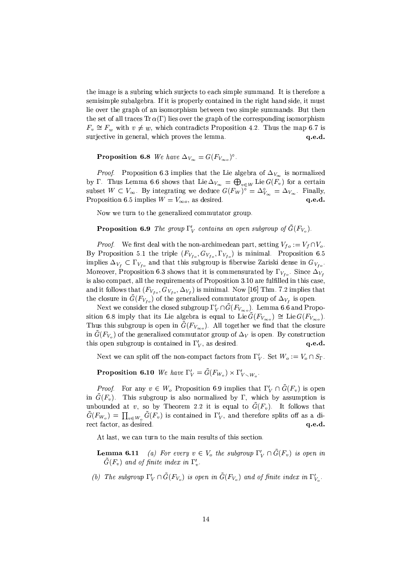the image is a subring which surjects to each simple summand. It is therefore a semisimple subalgebra. If it is properly contained in the right hand side, it must lie over the graph of an isomorphism between two simple summands. But then the set of all traces  $\text{Tr }\alpha(\Gamma)$  lies over the graph of the corresponding isomorphism  $F_v \cong F_w$  with  $v \neq w$ , which contradicts Proposition 4.2. Thus the map 6.7 is surjective in general, which proves the lemma. q.e.d.

**Proposition 6.8** We have  $\Delta_{V_{\infty}} = G(F_{V_{\infty}})^{\circ}$ .

*Proof.* Proposition 6.3 implies that the Lie algebra of  $\Delta_{V_{\infty}}$  is normalized by  $\Gamma$ . Thus Lemma 6.6 shows that Lie  $\Delta_{V_{\infty}} = \bigoplus_{v \in W}$  Lie  $G(F_v)$  for a certain subset  $W \subset V_{\infty}$ . By integrating we deduce  $G(F_W)^{\circ} = \Delta_{V_{\infty}}^{\circ} = \Delta_{V_{\infty}}$ . Finally, Proposition 6.5 implies  $W = V_{\infty o}$ , as desired.  $q.e.d.$ 

Now we turn to the generalized commutator group.

**Proposition 6.9** The group  $\Gamma'_V$  contains an open subgroup of  $\tilde{G}(F_{V_0})$ .

*Proof.* We first deal with the non-archimedean part, setting  $V_{fo} := V_f \cap V_o$ . By Proposition 5.1 the triple  $(F_{V_{t_0}}, G_{V_{t_0}}, \Gamma_{V_{t_0}})$  is minimal. Proposition 6.5 implies  $\Delta_{V_f} \subset \Gamma_{V_{f_o}}$  and that this subgroup is fiberwise Zariski dense in  $G_{V_{f_o}}$ . Moreover, Proposition 6.3 shows that it is commensurated by  $\Gamma_{V_{to}}$ . Since  $\Delta_{V_{to}}$ is also compact, all the requirements of Proposition 3.10 are fulfilled in this case, and it follows that  $(F_{V_{fo}}, G_{V_{fo}}, \Delta_{V_f})$  is minimal. Now [16] Thm. 7.2 implies that the closure in  $\tilde{G}(F_{V_{f_o}})$  of the generalized commutator group of  $\Delta_{V_f}$  is open.

Next we consider the closed subgroup  $\Gamma_V' \cap \tilde{G}(F_{V_{\infty o}})$ . Lemma 6.6 and Proposition 6.8 imply that its Lie algebra is equal to Lie  $\tilde{G}(F_{V_{\infty,0}}) \cong$  Lie  $G(F_{V_{\infty,0}})$ . Thus this subgroup is open in  $\tilde{G}(F_{V_{\infty o}})$ . All together we find that the closure in  $G(F_{V_o})$  of the generalized commutator group of  $\Delta_V$  is open. By construction this open subgroup is contained in  $\Gamma_V$ , as desired.  $q.e.d.$ 

Next we can split off the non-compact factors from  $\Gamma_V'$ . Set  $W_o := V_o \cap S_{\Gamma}$ .

**Proposition 6.10** We have  $\Gamma'_V = \tilde{G}(F_{W_o}) \times \Gamma'_{V \setminus W_o}$ .

*Proof.* For any  $v \in W_o$  Proposition 6.9 implies that  $\Gamma'_V \cap \tilde{G}(F_v)$  is open in  $\tilde{G}(F_v)$ . This subgroup is also normalized by  $\Gamma$ , which by assumption is unbounded at v, so by Theorem 2.2 it is equal to  $\tilde{G}(F_n)$ . It follows that  $\tilde{G}(F_{W_o}) = \prod_{v \in W_o} \tilde{G}(F_v)$  is contained in  $\Gamma'_V$ , and therefore splits off as a direct factor, as desired.  $q.e.d.$ 

At last, we can turn to the main results of this section.

**Lemma 6.11** (a) For every  $v \in V_o$  the subgroup  $\Gamma'_V \cap \tilde{G}(F_v)$  is open in  $\tilde{G}(F_v)$  and of finite index in  $\Gamma'_v$ .

(b) The subgroup  $\Gamma'_V \cap \tilde{G}(F_{V_o})$  is open in  $\tilde{G}(F_{V_o})$  and of finite index in  $\Gamma'_{V_o}$ .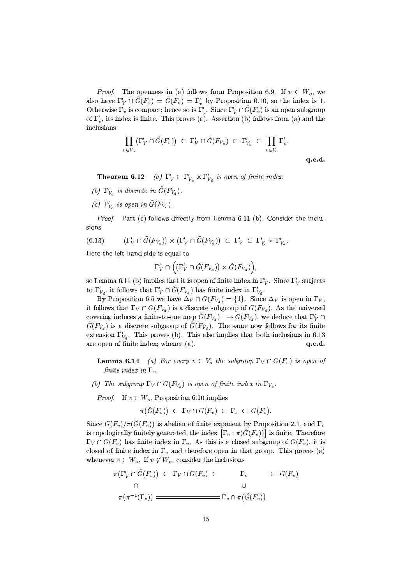*Proof.* The openness in (a) follows from Proposition 6.9. If  $v \in W_o$ , we also have  $\Gamma'_V \cap \tilde{G}(F_v) = \tilde{G}(F_v) = \Gamma'_v$  by Proposition 6.10, so the index is 1. Otherwise  $\Gamma_v$  is compact; hence so is  $\Gamma'_v$ . Since  $\Gamma'_V \cap \tilde{G}(F_v)$  is an open subgroup of  $\Gamma'_n$ , its index is finite. This proves (a). Assertion (b) follows from (a) and the inclusions

$$
\prod_{v \in V_o} (\Gamma'_V \cap \tilde{G}(F_v)) \subset \Gamma'_V \cap \tilde{G}(F_{V_o}) \subset \Gamma'_{V_o} \subset \prod_{v \in V_o} \Gamma'_v.
$$

 $q.e.d.$ 

**Theorem 6.12** (a)  $\Gamma'_V \subset \Gamma'_{V_o} \times \Gamma'_{V_d}$  is open of finite index.

- (b)  $\Gamma'_{V_d}$  is discrete in  $\tilde{G}(F_{V_d})$ .
- (c)  $\Gamma'_{V_o}$  is open in  $\tilde{G}(F_{V_o})$ .

*Proof.* Part (c) follows directly from Lemma 6.11 (b). Consider the inclusions

$$
(6.13) \qquad (\Gamma_V' \cap \tilde{G}(F_{V_o})) \times (\Gamma_V' \cap \tilde{G}(F_{V_d})) \subset \Gamma_V' \subset \Gamma_{V_o}' \times \Gamma_{V_d}'.
$$

Here the left hand side is equal to

$$
\Gamma_V' \cap \left( \left( \Gamma_V' \cap \tilde{G}(F_{V_o}) \right) \times \tilde{G}(F_{V_d}) \right),\
$$

so Lemma 6.11 (b) implies that it is open of finite index in  $\Gamma_V'$ . Since  $\Gamma_V'$  surjects to  $\Gamma'_{V_d}$ , it follows that  $\Gamma'_V \cap G(F_{V_d})$  has finite index in  $\Gamma'_{V_d}$ .

By Proposition 6.5 we have  $\Delta_V \cap G(F_{V_d}) = \{1\}$ . Since  $\Delta_V$  is open in  $\Gamma_V$ , it follows that  $\Gamma_V \cap G(F_{V_d})$  is a discrete subgroup of  $G(F_{V_d})$ . As the universal covering induces a finite-to-one map  $\tilde{G}(F_{V_d}) \longrightarrow G(F_{V_d})$ , we deduce that  $\Gamma_V' \cap$  $\tilde{G}(F_{V_d})$  is a discrete subgroup of  $\tilde{G}(F_{V_d})$ . The same now follows for its finite extension  $\Gamma'_{V_d}$ . This proves (b). This also implies that both inclusions in 6.13 are open of finite index; whence (a).  $q.e.d.$ 

**Lemma 6.14** (a) For every  $v \in V_o$  the subgroup  $\Gamma_V \cap G(F_v)$  is open of finite index in  $\Gamma_v$ .

(b) The subgroup  $\Gamma_V \cap G(F_{V_0})$  is open of finite index in  $\Gamma_{V_0}$ .

*Proof.* If  $v \in W_o$ , Proposition 6.10 implies

$$
\pi(\tilde{G}(F_v)) \subset \Gamma_V \cap G(F_v) \subset \Gamma_v \subset G(F_v).
$$

Since  $G(F_v)/\pi(\tilde{G}(F_v))$  is abelian of finite exponent by Proposition 2.1, and  $\Gamma_v$ is topologically finitely generated, the index  $[\Gamma_v : \pi(\tilde{G}(F_v))]$  is finite. Therefore  $\Gamma_V \cap G(F_v)$  has finite index in  $\Gamma_v$ . As this is a closed subgroup of  $G(F_v)$ , it is closed of finite index in  $\Gamma_v$  and therefore open in that group. This proves (a) whenever  $v \in W_o$ . If  $v \notin W_o$ , consider the inclusions

$$
\pi(\Gamma'_V \cap \tilde{G}(F_v)) \subset \Gamma_V \cap G(F_v) \subset \Gamma_v \subset G(F_v)
$$
\n
$$
\cap \qquad \qquad \cup
$$
\n
$$
\pi(\pi^{-1}(\Gamma_v)) \longrightarrow \qquad \qquad \Gamma_v \cap \pi(\tilde{G}(F_v)).
$$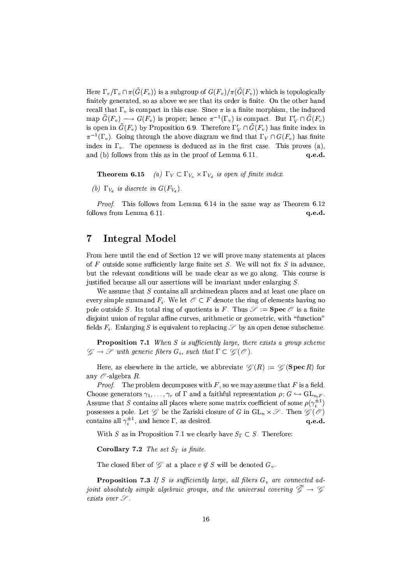Here  $\Gamma_v/\Gamma_v \cap \pi(\tilde{G}(F_v))$  is a subgroup of  $G(F_v)/\pi(\tilde{G}(F_v))$  which is topologically finitely generated, so as above we see that its order is finite. On the other hand recall that  $\Gamma_v$  is compact in this case. Since  $\pi$  is a finite morphism, the induced map  $\tilde{G}(F_v) \longrightarrow G(F_v)$  is proper; hence  $\pi^{-1}(\Gamma_v)$  is compact. But  $\Gamma'_V \cap \tilde{G}(F_v)$ is open in  $\tilde{G}(F_v)$  by Proposition 6.9. Therefore  $\Gamma'_V \cap \tilde{G}(F_v)$  has finite index in  $\pi^{-1}(\Gamma_v)$ . Going through the above diagram we find that  $\Gamma_V \cap G(F_v)$  has finite index in  $\Gamma_v$ . The openness is deduced as in the first case. This proves (a), and (b) follows from this as in the proof of Lemma 6.11. q.e.d.

**Theorem 6.15** (a)  $\Gamma_V \subset \Gamma_{V_o} \times \Gamma_{V_d}$  is open of finite index.

(b)  $\Gamma_{V_d}$  is discrete in  $G(F_{V_d})$ .

*Proof.* This follows from Lemma 6.14 in the same way as Theorem 6.12 follows from Lemma 6.11.  $q.e.d.$ 

#### $\overline{7}$ Integral Model

From here until the end of Section 12 we will prove many statements at places of F outside some sufficiently large finite set S. We will not fix S in advance, but the relevant conditions will be made clear as we go along. This course is justified because all our assertions will be invariant under enlarging  $S$ .

We assume that S contains all archimedean places and at least one place on every simple summand  $F_i$ . We let  $\mathcal{O} \subset F$  denote the ring of elements having no pole outside S. Its total ring of quotients is F. Thus  $\mathscr{S} :=$  **Spec**  $\mathscr{O}$  is a finite disjoint union of regular affine curves, arithmetic or geometric, with "function" fields  $F_i$ . Enlarging S is equivalent to replacing  $\mathscr S$  by an open dense subscheme.

**Proposition 7.1** When S is sufficiently large, there exists a group scheme  $\mathscr{G} \to \mathscr{S}$  with generic fibers  $G_i$ , such that  $\Gamma \subset \mathscr{G}(\mathscr{O})$ .

Here, as elsewhere in the article, we abbreviate  $\mathscr{G}(R) := \mathscr{G}(\operatorname{Spec} R)$  for any  $\mathcal O$  algebra R.

*Proof.* The problem decomposes with F, so we may assume that F is a field. Choose generators  $\gamma_1, \ldots, \gamma_r$  of  $\Gamma$  and a faithful representation  $\rho: G \hookrightarrow \text{GL}_{n,F}$ . Assume that S contains all places where some matrix coefficient of some  $\rho(\gamma_i^{\pm 1})$ possesses a pole. Let  $\mathcal G$  be the Zariski closure of G in  $GL_n \times \mathcal S$ . Then  $\mathcal G(\mathcal O)$ contains all  $\gamma_i^{\pm 1}$ , and hence  $\Gamma$ , as desired. q.e.d.

With S as in Proposition 7.1 we clearly have  $S_{\Gamma} \subset S$ . Therefore:

Corollary 7.2 The set  $S_{\Gamma}$  is finite.

The closed fiber of  $\mathscr G$  at a place  $v \notin S$  will be denoted  $G_v$ .

**Proposition 7.3** If S is sufficiently large, all fibers  $G_v$  are connected adjoint absolutely simple algebraic groups, and the universal covering  $\tilde{\mathscr{G}} \to \mathscr{G}$ exists over  $\mathscr S$ .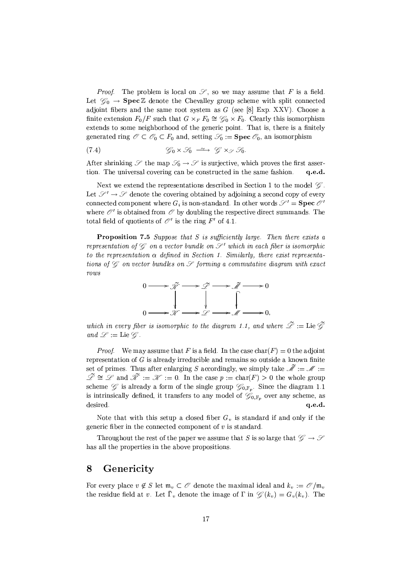*Proof.* The problem is local on  $\mathscr{S}$ , so we may assume that F is a field. Let  $\mathcal{G}_0 \to \text{Spec } \mathbb{Z}$  denote the Chevalley group scheme with split connected adjoint fibers and the same root system as  $G$  (see [8] Exp. XXV). Choose a finite extension  $F_0/F$  such that  $G \times_F F_0 \cong \mathcal{G}_0 \times F_0$ . Clearly this isomorphism extends to some neighborhood of the generic point. That is, there is a finitely generated ring  $\mathscr{O} \subset \mathscr{O}_0 \subset F_0$  and, setting  $\mathscr{S}_0 := \text{Spec } \mathscr{O}_0$ , an isomorphism

$$
\mathcal{G}_0 \times \mathcal{G}_0 \xrightarrow{\sim} \mathcal{G} \times_{\mathcal{F}} \mathcal{G}_0.
$$
 (7.4)

After shrinking  $\mathscr S$  the map  $\mathscr S_0 \to \mathscr S$  is surjective, which proves the first assertion. The universal covering can be constructed in the same fashion.  $q.e.d.$ 

Next we extend the representations described in Section 1 to the model  $\mathscr{G}$ . Let  $\mathscr{S}' \to \mathscr{S}$  denote the covering obtained by adjoining a second copy of every connected component where  $G_i$  is non-standard. In other words  $\mathcal{S}' = \text{Spec } \mathcal{O}'$ where  $\mathcal{O}'$  is obtained from  $\mathcal O$  by doubling the respective direct summands. The total field of quotients of  $\mathcal{O}'$  is the ring F' of 4.1.

**Proposition 7.5** Suppose that S is sufficiently large. Then there exists a representation of  $\mathscr G$  on a vector bundle on  $\mathscr S'$  which in each fiber is isomorphic to the representation  $\alpha$  defined in Section 1. Similarly, there exist representations of  $\mathscr G$  on vector bundles on  $\mathscr S$  forming a commutative diagram with exact  $rows$ 



which in every fiber is isomorphic to the diagram 1.1, and where  $\tilde{\mathscr{L}} :=$  Lie  $\tilde{\mathscr{G}}$ and  $\mathscr{L} := \mathrm{Lie} \mathscr{G}$ .

*Proof.* We may assume that F is a field. In the case  $char(F) = 0$  the adjoint representation of  $G$  is already irreducible and remains so outside a known finite set of primes. Thus after enlarging S accordingly, we simply take  $\mathscr{M} := \mathscr{M}$  $\widetilde{\mathscr{L}} \cong \mathscr{L}$  and  $\widetilde{\mathscr{K}} := \mathscr{K} := 0$ . In the case  $p := \text{char}(F) > 0$  the whole group scheme  $\mathscr{G}$  is already a form of the single group  $\mathscr{G}_{0,\mathbb{F}_n}$ . Since the diagram 1.1 is intrinsically defined, it transfers to any model of  $\mathscr{G}_{0,\mathbb{F}_p}$  over any scheme, as desired.  $q.e.d.$ 

Note that with this setup a closed fiber  $G_v$  is standard if and only if the generic fiber in the connected component of  $v$  is standard.

Throughout the rest of the paper we assume that S is so large that  $\mathscr{G} \to \mathscr{S}$ has all the properties in the above propositions.

#### 8 Genericity

For every place  $v \notin S$  let  $\mathfrak{m}_v \subset \mathcal{O}$  denote the maximal ideal and  $k_v := \mathcal{O}/\mathfrak{m}_v$ the residue field at v. Let  $\overline{\Gamma}_v$  denote the image of  $\Gamma$  in  $\mathscr{G}(k_v) = G_v(k_v)$ . The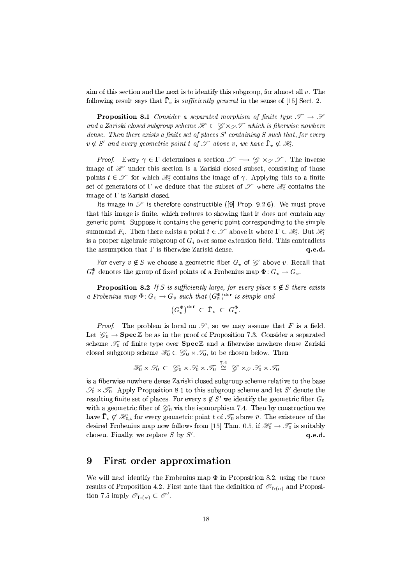aim of this section and the next is to identify this subgroup, for almost all  $v$ . The following result says that  $\bar{\Gamma}_v$  is *sufficiently general* in the sense of [15] Sect. 2.

**Proposition 8.1** Consider a separated morphism of finite type  $\mathscr{T} \to \mathscr{S}$ and a Zariski closed subgroup scheme  $\mathcal{H} \subset \mathcal{G} \times_{\mathcal{F}} \mathcal{T}$  which is fiberwise nowhere dense. Then there exists a finite set of places  $S'$  containing  $S$  such that, for every  $v \notin S'$  and every geometric point t of  $\mathscr T$  above v, we have  $\bar{\Gamma}_v \not\subset \mathscr H_t$ .

*Proof.* Every  $\gamma \in \Gamma$  determines a section  $\mathscr{T} \longrightarrow \mathscr{G} \times_{\mathscr{S}} \mathscr{T}$ . The inverse image of  $\mathcal X$  under this section is a Zariski closed subset, consisting of those points  $t \in \mathcal{T}$  for which  $\mathcal{H}_t$  contains the image of  $\gamma$ . Applying this to a finite set of generators of  $\Gamma$  we deduce that the subset of  $\mathscr T$  where  $\mathscr H_t$  contains the image of  $\Gamma$  is Zariski closed.

Its image in  $\mathscr S$  is therefore constructible ([9] Prop. 9.2.6). We must prove that this image is finite, which reduces to showing that it does not contain any generic point. Suppose it contains the generic point corresponding to the simple summand  $F_i$ . Then there exists a point  $t \in \mathcal{T}$  above it where  $\Gamma \subset \mathcal{H}$ . But  $\mathcal{H}$ is a proper algebraic subgroup of  $G_i$  over some extension field. This contradicts the assumption that  $\Gamma$  is fiberwise Zariski dense.  $q.e.d.$ 

For every  $v \notin S$  we choose a geometric fiber  $G_{\bar{v}}$  of  $\mathscr{G}$  above v. Recall that  $G_{\bar{v}}^{\Phi}$  denotes the group of fixed points of a Frobenius map  $\Phi: G_{\bar{v}} \to G_{\bar{v}}$ .

**Proposition 8.2** If S is sufficiently large, for every place  $v \notin S$  there exists a Frobenius map  $\Phi: G_{\bar{v}} \to G_{\bar{v}}$  such that  $(G_{\bar{v}}^{\Phi})^{\text{der}}$  is simple and

$$
\left(G_{\bar{v}}^{\Phi}\right)^{\mathrm{der}} \subset \bar{\Gamma}_v \subset G_{\bar{v}}^{\Phi}.
$$

*Proof.* The problem is local on  $\mathscr{S}$ , so we may assume that F is a field. Let  $\mathcal{G}_0 \to \textbf{Spec} \mathbb{Z}$  be as in the proof of Proposition 7.3. Consider a separated scheme  $\mathcal{I}_0$  of finite type over Spec Z and a fiberwise nowhere dense Zariski closed subgroup scheme  $\mathcal{H}_0 \subset \mathcal{G}_0 \times \mathcal{T}_0$ , to be chosen below. Then

$$
\mathcal{H}_0 \times \mathcal{G}_0 \subset \mathcal{G}_0 \times \mathcal{G}_0 \times \mathcal{T}_0 \stackrel{7.4}{\cong} \mathcal{G} \times_{\mathcal{S}} \mathcal{G}_0 \times \mathcal{T}_0
$$

is a fiberwise nowhere dense Zariski closed subgroup scheme relative to the base  $\mathscr{S}_0 \times \mathscr{T}_0$ . Apply Proposition 8.1 to this subgroup scheme and let S' denote the resulting finite set of places. For every  $v \notin S'$  we identify the geometric fiber  $G_{\bar{v}}$ with a geometric fiber of  $\mathcal{G}_0$  via the isomorphism 7.4. Then by construction we have  $\bar{\Gamma}_v \not\subset \mathcal{H}_{0,t}$  for every geometric point t of  $\mathcal{T}_0$  above  $\bar{v}$ . The existence of the desired Frobenius map now follows from [15] Thm. 0.5, if  $\mathcal{H}_0 \to \mathcal{T}_0$  is suitably chosen. Finally, we replace  $S$  by  $S'$ . q.e.d.

#### 9 First order approximation

We will next identify the Frobenius map  $\Phi$  in Proposition 8.2, using the trace results of Proposition 4.2. First note that the definition of  $\mathcal{O}_{\text{Tr}(\alpha)}$  and Proposition 7.5 imply  $\mathscr{O}_{\text{Tr}(\alpha)} \subset \mathscr{O}'$ .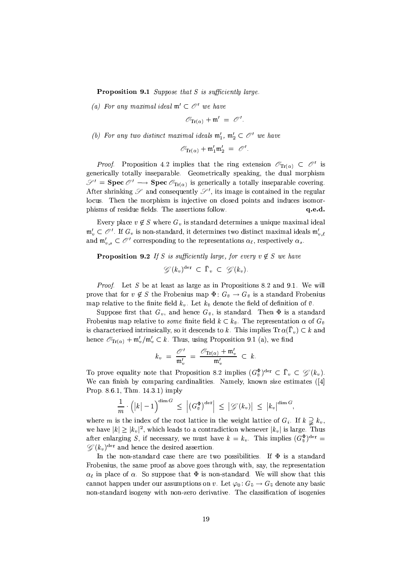**Proposition 9.1** Suppose that  $S$  is sufficiently large.

(a) For any maximal ideal  $\mathfrak{m}' \subset \mathcal{O}'$  we have

 $\mathcal{O}_{\text{Tr}(\alpha)} + \mathfrak{m}' = \mathcal{O}'.$ 

(b) For any two distinct maximal ideals  $\mathfrak{m}'_1$ ,  $\mathfrak{m}'_2 \subset \mathcal{O}'$  we have

$$
\mathscr{O}_{\text{Tr}(\alpha)}+\mathfrak{m}'_1\mathfrak{m}'_2~=~\mathscr{O}'
$$

*Proof.* Proposition 4.2 implies that the ring extension  $\mathcal{O}_{\text{Tr}(\alpha)} \subset \mathcal{O}'$  is generically totally inseparable. Geometrically speaking, the dual morphism  $\mathcal{S}' =$  **Spec**  $\mathcal{O}' \longrightarrow$  **Spec**  $\mathcal{O}_{\text{Tr}(\alpha)}$  is generically a totally inseparable covering. After shrinking  $\mathscr S$  and consequently  $\mathscr S'$ , its image is contained in the regular locus. Then the morphism is injective on closed points and induces isomorphisms of residue fields. The assertions follow. q.e.d.

Every place  $v \notin S$  where  $G_v$  is standard determines a unique maximal ideal  $\mathfrak{m}'_n \subset \mathcal{O}'$ . If  $G_v$  is non-standard, it determines two distinct maximal ideals  $\mathfrak{m}'_n$ , and  $\mathfrak{m}'_{n,s} \subset \mathcal{O}'$  corresponding to the representations  $\alpha_{\ell}$ , respectively  $\alpha_{s}$ .

**Proposition 9.2** If S is sufficiently large, for every  $v \notin S$  we have

$$
\mathscr{G}(k_v)^{\mathrm{der}} \subset \overline{\Gamma}_v \subset \mathscr{G}(k_v).
$$

*Proof.* Let S be at least as large as in Propositions 8.2 and 9.1. We will prove that for  $v \notin S$  the Frobenius map  $\Phi: G_{\bar{v}} \to G_{\bar{v}}$  is a standard Frobenius map relative to the finite field  $k_v$ . Let  $k_{\bar{v}}$  denote the field of definition of  $\bar{v}$ .

Suppose first that  $G_v$ , and hence  $G_{\bar{v}}$ , is standard. Then  $\Phi$  is a standard Frobenius map relative to some finite field  $k \subset k_{\bar{v}}$ . The representation  $\alpha$  of  $G_{\bar{v}}$ is characterized intrinsically, so it descends to k. This implies  $\text{Tr }\alpha(\bar{\Gamma}_v) \subset k$  and hence  $\mathscr{O}_{\text{Tr}(\alpha)} + \mathfrak{m}'_v / \mathfrak{m}'_v \subset k$ . Thus, using Proposition 9.1 (a), we find

$$
k_v = \frac{\mathcal{O}'}{\mathfrak{m}_v'} = \frac{\mathcal{O}_{\mathrm{Tr}(\alpha)} + \mathfrak{m}_v'}{\mathfrak{m}_v'} \subset k.
$$

To prove equality note that Proposition 8.2 implies  $(G_{\bar{v}}^{\Phi})^{\text{der}} \subset \bar{\Gamma}_{v} \subset \mathscr{G}(k_{v}).$ We can finish by comparing cardinalities. Namely, known size estimates ([4] Prop. 8.6.1, Thm. 14.3.1) imply

$$
\frac{1}{m} \cdot \left( \left|k\right| - 1 \right)^{\dim G} \leq \left| \left( G^{\Phi}_{\overline{v}} \right)^{\mathrm{der}} \right| \leq \left| \mathscr{G}(k_v) \right| \leq \left| k_v \right|^{\dim G},
$$

where m is the index of the root lattice in the weight lattice of  $G_i$ . If  $k \supsetneq k_v$ , we have  $|k| \geq |k_v|^2$ , which leads to a contradiction whenever  $|k_v|$  is large. Thus after enlarging S, if necessary, we must have  $k = k_v$ . This implies  $(G_{\pi}^{\Phi})^{\text{der}} =$  $\mathscr{G}(k_v)^{\text{der}}$  and hence the desired assertion.

In the non-standard case there are two possibilities. If  $\Phi$  is a standard Frobenius, the same proof as above goes through with, say, the representation  $\alpha_{\ell}$  in place of  $\alpha$ . So suppose that  $\Phi$  is non-standard. We will show that this cannot happen under our assumptions on v. Let  $\varphi_0: G_{\bar{v}} \to G_{\bar{v}}$  denote any basic non-standard isogeny with non-zero derivative. The classification of isogenies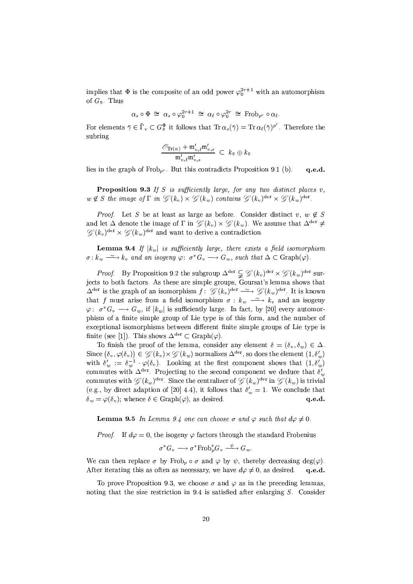implies that  $\Phi$  is the composite of an odd power  $\varphi_0^{2r+1}$  with an automorphism of  $G_{\bar{v}}$ . Thus

$$
\alpha_s \circ \Phi \;\cong\; \alpha_s \circ \varphi_0^{2r+1} \;\cong\; \alpha_\ell \circ \varphi_0^{2r} \;\cong\; \mathrm{Frob}_{p^r} \circ \alpha_\ell.
$$

For elements  $\bar{\gamma} \in \bar{\Gamma}_v \subset G_{\bar{v}}^{\Phi}$  it follows that  $\text{Tr}\,\alpha_s(\bar{\gamma}) = \text{Tr}\,\alpha_\ell(\bar{\gamma})^{p^r}$ . Therefore the subring

$$
\frac{\mathscr{O}_{\operatorname{Tr}(\alpha)} + \mathfrak{m}'_{v,\ell}\mathfrak{m}'_{v,s}}{\mathfrak{m}'_{v,\ell}\mathfrak{m}'_{v,s}} \ \subset \ k_{\bar{v}} \oplus k_{\bar{v}}
$$

lies in the graph of  $Frob_{p^r}$ . But this contradicts Proposition 9.1 (b). q.e.d.

**Proposition 9.3** If S is sufficiently large, for any two distinct places  $v$ ,  $w \notin S$  the image of  $\Gamma$  in  $\mathscr{G}(k_v) \times \mathscr{G}(k_w)$  contains  $\mathscr{G}(k_v)^{\text{der}} \times \mathscr{G}(k_w)^{\text{der}}$ .

*Proof.* Let S be at least as large as before. Consider distinct v,  $w \notin S$ and let  $\Delta$  denote the image of  $\Gamma$  in  $\mathscr{G}(k_v) \times \mathscr{G}(k_w)$ . We assume that  $\Delta^{\text{der}} \neq$  $\mathscr{G}(k_v)^{\text{der}} \times \mathscr{G}(k_w)^{\text{der}}$  and want to derive a contradiction.

**Lemma 9.4** If  $|k_w|$  is sufficiently large, there exists a field isomorphism  $\sigma: k_w \longrightarrow k_v$  and an isogeny  $\varphi: \sigma^* G_v \longrightarrow G_w$ , such that  $\Delta \subset \text{Graph}(\varphi)$ .

*Proof.* By Proposition 9.2 the subgroup  $\Delta^{\text{der}} \subsetneq \mathscr{G}(k_v)^{\text{der}} \times \mathscr{G}(k_w)^{\text{der}}$  surjects to both factors. As these are simple groups, Goursat's lemma shows that  $\Delta^{\text{der}}$  is the graph of an isomorphism  $f: \mathcal{G}(k_v)^{\text{der}} \longrightarrow \mathcal{G}(k_w)^{\text{der}}$ . It is known that f must arise from a field isomorphism  $\sigma : k_w \longrightarrow k_v$  and an isogeny  $\varphi: \sigma^* G_v \longrightarrow G_w$ , if  $|k_w|$  is sufficiently large. In fact, by [20] every automorphism of a finite simple group of Lie type is of this form, and the number of exceptional isomorphisms between different finite simple groups of Lie type is finite (see [1]). This shows  $\Delta^{\text{der}} \subset \text{Graph}(\varphi)$ .

To finish the proof of the lemma, consider any element  $\delta = (\delta_v, \delta_w) \in \Delta$ . Since  $(\delta_v, \varphi(\delta_v)) \in \mathscr{G}(k_v) \times \mathscr{G}(k_w)$  normalizes  $\Delta^{\text{der}}$ , so does the element  $(1, \delta'_w)$ with  $\delta'_w := \delta_w^{-1} \cdot \varphi(\delta_v)$ . Looking at the first component shows that  $(1, \delta'_w)$ commutes with  $\Delta^{\text{der}}$ . Projecting to the second component we deduce that  $\delta'_{\text{eq}}$ commutes with  $\mathscr{G}(k_w)^{\text{der}}$ . Since the centralizer of  $\mathscr{G}(k_w)^{\text{der}}$  in  $\mathscr{G}(k_w)$  is trivial (e.g., by direct adaption of [20] 4.4), it follows that  $\delta_w' = 1$ . We conclude that  $\delta_w = \varphi(\delta_v)$ ; whence  $\delta \in \text{Graph}(\varphi)$ , as desired. q.e.d.

**Lemma 9.5** In Lemma 9.4 one can choose  $\sigma$  and  $\varphi$  such that  $d\varphi \neq 0$ .

*Proof.* If  $d\varphi = 0$ , the isogeny  $\varphi$  factors through the standard Frobenius

$$
\sigma^* G_v \longrightarrow \sigma^* \text{Frob}_p^* G_v \stackrel{\psi}{\longrightarrow} G_w.
$$

We can then replace  $\sigma$  by Frob<sub>p</sub>  $\circ$   $\sigma$  and  $\varphi$  by  $\psi$ , thereby decreasing deg( $\varphi$ ). After iterating this as often as necessary, we have  $d\varphi \neq 0$ , as desired.  $a.e.d.$ 

To prove Proposition 9.3, we choose  $\sigma$  and  $\varphi$  as in the preceding lemmas, noting that the size restriction in 9.4 is satisfied after enlarging S. Consider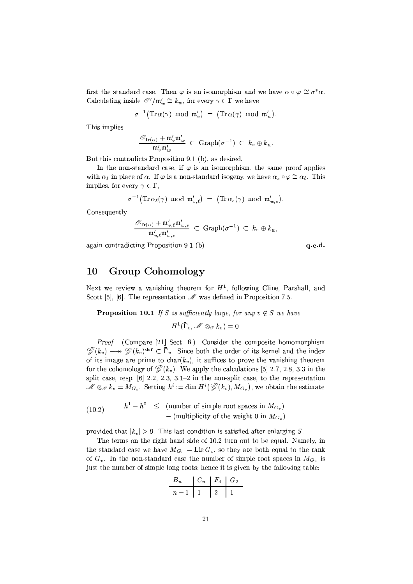first the standard case. Then  $\varphi$  is an isomorphism and we have  $\alpha \circ \varphi \cong \sigma^* \alpha$ . Calculating inside  $\mathcal{O}'/\mathfrak{m}'_w \cong k_w$ , for every  $\gamma \in \Gamma$  we have

$$
\sigma^{-1}\big({\rm Tr \,} \alpha(\gamma) \ \ {\rm mod \ \ } \mathfrak m'_{v}\big) \ \ = \ \big({\rm Tr \,} \alpha(\gamma) \ \ {\rm mod \ \ } \mathfrak m'_{w}\big).
$$

This implies

$$
\frac{\mathscr{O}_{\mathrm{Tr}(\alpha)} + \mathfrak{m}'_v \mathfrak{m}'_w}{\mathfrak{m}'_w \mathfrak{m}'_w} \ \subset \ \mathrm{Graph}(\sigma^{-1}) \ \subset \ k_v \oplus k_w.
$$

But this contradicts Proposition 9.1 (b), as desired.

In the non-standard case, if  $\varphi$  is an isomorphism, the same proof applies with  $\alpha_{\ell}$  in place of  $\alpha$ . If  $\varphi$  is a non-standard isogeny, we have  $\alpha_s \circ \varphi \cong \alpha_{\ell}$ . This implies, for every  $\gamma \in \Gamma$ ,

$$
\sigma^{-1}\big(\text{Tr}\,\alpha_\ell(\gamma)\;\;\text{mod}\;\; \mathfrak{m}'_{v,\ell}\big) \;\,=\;\, \big(\text{Tr}\,\alpha_s(\gamma)\;\;\text{mod}\;\; \mathfrak{m}'_{w,s}\big).
$$

Consequently

$$
\frac{\mathscr{O}_{\text{Tr}(\alpha)} + \mathfrak{m}'_{v,\ell} \mathfrak{m}'_{w,s}}{\mathfrak{m}'_{v,\ell} \mathfrak{m}'_{w,s}} \ \subset \ \text{Graph}(\sigma^{-1}) \ \subset \ k_v \oplus k_w,
$$

again contradicting Proposition 9.1 (b).

q.e.d.

#### 10 **Group Cohomology**

Next we review a vanishing theorem for  $H<sup>1</sup>$ , following Cline, Parshall, and Scott [5], [6]. The representation  $\mathcal M$  was defined in Proposition 7.5.

**Proposition 10.1** If S is sufficiently large, for any  $v \notin S$  we have

 $H^1(\overline{\Gamma}_v, \mathscr{M} \otimes_{\mathscr{O}} k_v) = 0.$ 

Proof. (Compare [21] Sect. 6.) Consider the composite homomorphism  $\widetilde{\mathscr{G}}(k_v) \longrightarrow \mathscr{G}(k_v)^{\text{der}} \subset \overline{\Gamma}_v$ . Since both the order of its kernel and the index of its image are prime to char( $k_v$ ), it suffices to prove the vanishing theorem for the cohomology of  $\widetilde{\mathscr{G}}(k_v)$ . We apply the calculations [5] 2.7, 2.8, 3.3 in the split case, resp.  $[6]$  2.2, 2.3, 3.1-2 in the non-split case, to the representation  $\mathscr{M} \otimes_{\mathscr{O}} k_v = M_{G_v}$ . Setting  $h^i := \dim H^i(\widetilde{\mathscr{G}}(k_v), M_{G_v})$ , we obtain the estimate

(10.2) 
$$
h^1 - h^0 \leq \text{(number of simple root spaces in } M_{G_v}) - \text{(multiplicity of the weight 0 in } M_{G_v}).
$$

provided that  $|k_v| > 9$ . This last condition is satisfied after enlarging S.

The terms on the right hand side of 10.2 turn out to be equal. Namely, in the standard case we have  $M_{G_v} = \text{Lie } G_v$ , so they are both equal to the rank of  $G_v$ . In the non-standard case the number of simple root spaces in  $M_{G_v}$  is just the number of simple long roots; hence it is given by the following table:

$$
\begin{array}{c|c|c|c|c|c|c|c|c} B_n & C_n & F_4 & G_2 \\ \hline n-1 & 1 & 2 & 1 \end{array}
$$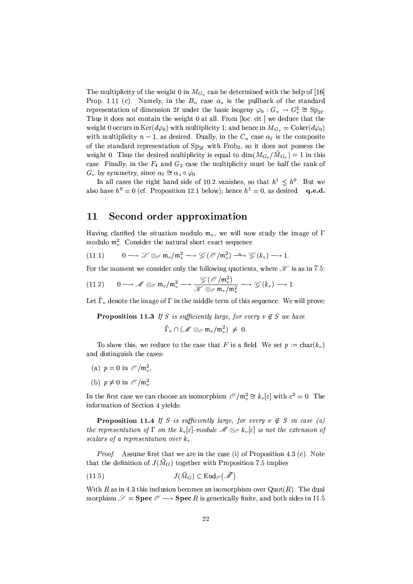The multiplicity of the weight 0 in  $M_{G_n}$  can be determined with the help of [16] Prop. 1.11 (c). Namely, in the  $B_n$  case  $\alpha_s$  is the pullback of the standard representation of dimension 2l under the basic isogeny  $\varphi_0: G_v \to G_v^{\sharp} \cong Sp_{2\ell}$ . Thus it does not contain the weight 0 at all. From [loc. cit.] we deduce that the weight 0 occurs in  $\text{Ker}(d\varphi_0)$  with multiplicity 1; and hence in  $M_{G_n} = \text{Coker}(d\varphi_0)$ with multiplicity  $n-1$ , as desired. Dually, in the  $C_n$  case  $\alpha_{\ell}$  is the composite of the standard representation of  $Sp_{2\ell}$  with Frob<sub>2</sub>, so it does not possess the weight 0. Thus the desired multiplicity is equal to  $\dim(M_{G_n}/\tilde{M}_{G_n})=1$  in this case. Finally, in the  $F_4$  and  $G_2$  case the multiplicity must be half the rank of  $G_v$  by symmetry, since  $\alpha_\ell \cong \alpha_s \circ \varphi_0$ .

In all cases the right hand side of 10.2 vanishes, so that  $h^1 \n\t\leq h^0$ . But we also have  $h^0 = 0$  (cf. Proposition 12.1 below); hence  $h^1 = 0$ , as desired. q.e.d.

#### 11 Second order approximation

Having clarified the situation modulo  $m_v$ , we will now study the image of  $\Gamma$ modulo  $\mathfrak{m}_n^2$ . Consider the natural short exact sequence

$$
(11.1) \t 0 \longrightarrow \mathscr{L} \otimes_{\mathscr{O}} \mathfrak{m}_v / \mathfrak{m}_v^2 \longrightarrow \mathscr{G}(\mathscr{O}/\mathfrak{m}_v^2) \stackrel{\kappa}{\longrightarrow} \mathscr{G}(k_v) \longrightarrow 1.
$$

For the moment we consider only the following quotients, where  $\mathcal X$  is as in 7.5:

$$
(11.2) \qquad 0 \longrightarrow \mathscr{M} \otimes_{\mathscr{O}} \mathfrak{m}_v/\mathfrak{m}_v^2 \longrightarrow \frac{\mathscr{G}(\mathscr{O}/\mathfrak{m}_v^2)}{\mathscr{H} \otimes_{\mathscr{O}} \mathfrak{m}_v/\mathfrak{m}_v^2} \longrightarrow \mathscr{G}(k_v) \longrightarrow 1.
$$

Let  $\tilde{\Gamma}_v$  denote the image of  $\Gamma$  in the middle term of this sequence. We will prove:

**Proposition 11.3** If S is sufficiently large, for every  $v \notin S$  we have

$$
\check{\Gamma}_v \cap (\mathscr{M} \otimes_{\mathscr{O}} \mathfrak{m}_v/\mathfrak{m}_v^2) \ \neq \ 0
$$

To show this, we reduce to the case that F is a field. We set  $p := \text{char}(k_v)$ and distinguish the cases:

- (a)  $p = 0$  in  $\mathcal{O}/\mathfrak{m}_v^2$ ,
- (b)  $p \neq 0$  in  $\mathcal{O}/\mathfrak{m}_v^2$ .

In the first case we can choose an isomorphism  $\mathcal{O}/m_v^2 \cong k_v[\varepsilon]$  with  $\varepsilon^2 = 0$ . The information of Section 4 yields:

**Proposition 11.4** If S is sufficiently large, for every  $v \notin S$  in case (a) the representation of  $\Gamma$  on the  $k_n[\varepsilon]$ -module  $\mathcal{M} \otimes_{\mathcal{O}} k_n[\varepsilon]$  is not the extension of scalars of a representation over  $k_v$ .

*Proof.* Assume first that we are in the case (i) of Proposition 4.3 (c). Note that the definition of  $J(\tilde{M}_G)$  together with Proposition 7.5 implies

$$
(11.5) \t\t\t J(\tilde{M}_G) \subset \text{End}_{\mathscr{O}}(\tilde{\mathscr{M}}).
$$

With R as in 4.3 this inclusion becomes an isomorphism over  $Quot(R)$ . The dual morphism  $\mathscr{S} =$  **Spec**  $\mathscr{O} \longrightarrow$  **Spec** R is generically finite, and both sides in 11.5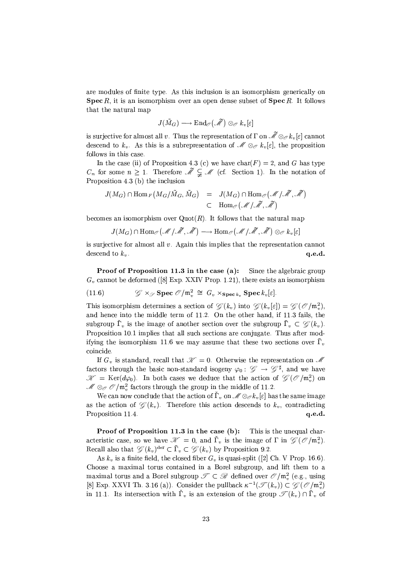are modules of finite type. As this inclusion is an isomorphism generically on **Spec** R, it is an isomorphism over an open dense subset of  $\text{Spec } R$ . It follows that the natural map

$$
J(\tilde{M}_{G})\longrightarrow \text{End}_{\mathscr{O}}\big(\tilde{\mathscr{M}}\big)\otimes_{\mathscr{O}}k_{v}[\varepsilon]
$$

is surjective for almost all v. Thus the representation of  $\Gamma$  on  $\widetilde{\mathcal{M}} \otimes_{\mathcal{O}} k_v[\varepsilon]$  cannot descend to  $k_v$ . As this is a subrepresentation of  $\mathcal{M} \otimes_{\mathcal{O}} k_v[\varepsilon]$ , the proposition follows in this case.

In the case (ii) of Proposition 4.3 (c) we have  $char(F) = 2$ , and G has type  $C_n$  for some  $n \geq 1$ . Therefore  $\tilde{\mathcal{M}} \subsetneq \mathcal{M}$  (cf. Section 1). In the notation of Proposition 4.3 (b) the inclusion

$$
J(M_G) \cap \text{Hom}_F\left(M_G/\tilde{M}_G, \tilde{M}_G\right) = J(M_G) \cap \text{Hom}_{\mathscr{O}}\left(\mathscr{M}/\tilde{\mathscr{M}}, \tilde{\mathscr{M}}\right)
$$
  

$$
\subset \text{Hom}_{\mathscr{O}}\left(\mathscr{M}/\tilde{\mathscr{M}}, \tilde{\mathscr{M}}\right)
$$

becomes an isomorphism over  $Quot(R)$ . It follows that the natural map

$$
J(M_G) \cap \mathrm{Hom}_{\mathscr{O}} \big( \mathscr{M} \: / \: \widetilde{\mathscr{M}} \: , \: \widetilde{\mathscr{M}} \big) \longrightarrow \mathrm{Hom}_{\mathscr{O}} \big( \mathscr{M} \: / \: \widetilde{\mathscr{M}} \: , \: \widetilde{\mathscr{M}} \big) \otimes_{\mathscr{O}} k_v \: [\varepsilon]
$$

is surjective for almost all  $v$ . Again this implies that the representation cannot descend to  $k_v$ . q.e.d.

Proof of Proposition 11.3 in the case (a): Since the algebraic group  $G<sub>v</sub>$  cannot be deformed ([8] Exp. XXIV Prop. 1.21), there exists an isomorphism

(11.6) 
$$
\mathcal{G} \times_{\mathcal{S}} \mathbf{Spec} \ \mathcal{O}/\mathfrak{m}_v^2 \cong G_v \times_{\mathbf{Spec} k_v} \mathbf{Spec} k_v[\varepsilon].
$$

This isomorphism determines a section of  $\mathscr{G}(k_v)$  into  $\mathscr{G}(k_v[\varepsilon]) = \mathscr{G}(\mathscr{O}/\mathfrak{m}_v^2)$ , and hence into the middle term of 11.2. On the other hand, if 11.3 fails, the subgroup  $\tilde{\Gamma}_n$  is the image of another section over the subgroup  $\overline{\Gamma}_n \subset \mathscr{C}(k_n)$ . Proposition 10.1 implies that all such sections are conjugate. Thus after modifying the isomorphism 11.6 we may assume that these two sections over  $\bar{\Gamma}_v$ coincide.

If  $G_v$  is standard, recall that  $\mathcal{K} = 0$ . Otherwise the representation on M factors through the basic non-standard isogeny  $\varphi_0: \mathscr{G} \to \mathscr{G}^{\sharp}$ , and we have  $\mathscr{K} = \text{Ker}(d\varphi_0)$ . In both cases we deduce that the action of  $\mathscr{G}(\mathscr{O}/\mathfrak{m}_n^2)$  on  $\mathcal{M} \otimes_{\mathcal{O}} \mathcal{O}/m_x^2$  factors through the group in the middle of 11.2.

We can now conclude that the action of  $\check{\Gamma}_v$  on  $\mathscr{M} \otimes_{\mathscr{O}} k_v[\varepsilon]$  has the same image as the action of  $\mathscr{G}(k_v)$ . Therefore this action descends to  $k_v$ , contradicting Proposition 11.4. q.e.d.

**Proof of Proposition 11.3 in the case (b):** This is the unequal characteristic case, so we have  $\mathcal{K} = 0$ , and  $\tilde{\Gamma}_v$  is the image of  $\Gamma$  in  $\mathcal{G}(\mathcal{O}/m_v^2)$ . Recall also that  $\mathscr{G}(k_v)^{\text{der}} \subset \overline{\Gamma}_v \subset \mathscr{G}(k_v)$  by Proposition 9.2.

As  $k_v$  is a finite field, the closed fiber  $G_v$  is quasi-split ([2] Ch. V Prop. 16.6). Choose a maximal torus contained in a Borel subgroup, and lift them to a maximal torus and a Borel subgroup  $\mathscr{T} \subset \mathscr{B}$  defined over  $\mathscr{O}/\mathfrak{m}_v^2$  (e.g., using [8] Exp. XXVI Th. 3.16 (a)). Consider the pullback  $\kappa^{-1}(\mathscr{T}(k_v)) \subset \mathscr{G}(\mathscr{O}/\mathfrak{m}_v^2)$ in 11.1. Its intersection with  $\check{\Gamma}_v$  is an extension of the group  $\mathscr{T}(k_v) \cap \bar{\Gamma}_v$  of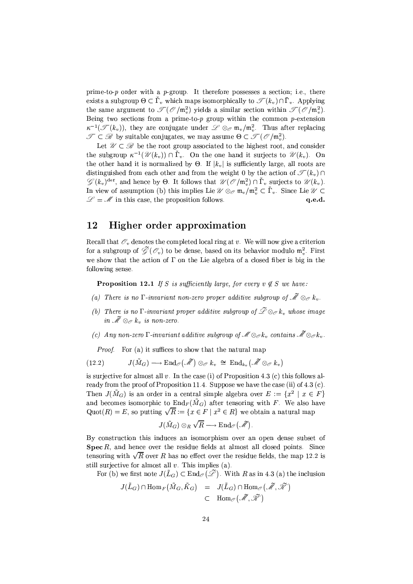prime-to-p order with a p-group. It therefore possesses a section; i.e., there exists a subgroup  $\Theta \subset \check{\Gamma}_v$  which maps isomorphically to  $\mathscr{T}(k_v) \cap \bar{\Gamma}_v$ . Applying the same argument to  $\mathcal{T}(\mathcal{O}/m_n^2)$  yields a similar section within  $\mathcal{T}(\mathcal{O}/m_n^2)$ . Being two sections from a prime-to-p group within the common p-extension  $\kappa^{-1}(\mathcal{T}(k_v))$ , they are conjugate under  $\mathcal{L} \otimes_{\mathcal{O}} \mathfrak{m}_v/\mathfrak{m}_v^2$ . Thus after replacing  $\mathscr{T} \subset \mathscr{D}$  by suitable conjugates, we may assume  $\Theta \subset \mathscr{T}(\mathscr{O}/m_n^2)$ .

Let  $\mathcal{U} \subset \mathcal{B}$  be the root group associated to the highest root, and consider the subgroup  $\kappa^{-1}(\mathcal{U}(k_v)) \cap \check{\Gamma}_v$ . On the one hand it surjects to  $\mathcal{U}(k_v)$ . On the other hand it is normalized by  $\Theta$ . If  $|k_v|$  is sufficiently large, all roots are distinguished from each other and from the weight 0 by the action of  $\mathscr{T}(k_n) \cap$  $\mathscr{L}(k_v)^{\text{der}}$ , and hence by  $\Theta$ . It follows that  $\mathscr{U}(\mathscr{O}/\mathfrak{m}_v^2) \cap \check{\Gamma}_v$  surjects to  $\mathscr{U}(k_v)$ . In view of assumption (b) this implies Lie  $\mathcal{U} \otimes_{\mathcal{O}} \mathfrak{m}_{v}/\mathfrak{m}_{v}^{2} \subset \check{\Gamma}_{v}$ . Since Lie  $\mathcal{U} \subset$  $\mathcal{L} = \mathcal{M}$  in this case, the proposition follows.  $q.e.d.$ 

#### 12 Higher order approximation

Recall that  $\mathcal{O}_v$  denotes the completed local ring at v. We will now give a criterion for a subgroup of  $\widetilde{\mathscr{G}}(\mathscr{O}_v)$  to be dense, based on its behavior modulo  $\mathfrak{m}_v^2$ . First we show that the action of  $\Gamma$  on the Lie algebra of a closed fiber is big in the following sense.

**Proposition 12.1** If S is sufficiently large, for every  $v \notin S$  we have:

- (a) There is no  $\Gamma$ -invariant non-zero proper additive subgroup of  $\widetilde{\mathscr{M}} \otimes_{\mathscr{P}} k_v$ .
- (b) There is no  $\Gamma$ -invariant proper additive subgroup of  $\widetilde{\mathscr{L}} \otimes_{\mathscr{O}} k_v$  whose image in  $\widetilde{\mathscr{M}} \otimes_{\mathscr{O}} k_v$  is non-zero.
- (c) Any non-zero  $\Gamma$ -invariant additive subgroup of  $\mathscr{M} \otimes_{\mathscr{O}} k_v$  contains  $\mathscr{\widetilde{M}} \otimes_{\mathscr{O}} k_v$ .

*Proof.* For (a) it suffices to show that the natural map

$$
(12.2) \t J(\tilde{M}_G) \longrightarrow \text{End}_{\mathscr{O}}(\tilde{\mathscr{M}}) \otimes_{\mathscr{O}} k_v \cong \text{End}_{k_v}(\tilde{\mathscr{M}} \otimes_{\mathscr{O}} k_v)
$$

is surjective for almost all  $v$ . In the case (i) of Proposition 4.3 (c) this follows already from the proof of Proposition 11.4. Suppose we have the case (ii) of 4.3 (c). Then  $J(\tilde{M}_G)$  is an order in a central simple algebra over  $E := \{x^2 \mid x \in F\}$ and becomes isomorphic to  $\text{End}_F(\tilde{M}_G)$  after tensoring with F. We also have  $Quot(R) = E$ , so putting  $\sqrt{R} := \{x \in F \mid x^2 \in R\}$  we obtain a natural map

$$
J(\tilde{M}_{G})\otimes_R \sqrt{R}\longrightarrow \text{End}_{\mathscr{O}}\big(\tilde{\mathscr{M}}\big).
$$

By construction this induces an isomorphism over an open dense subset of Spec  $R$ , and hence over the residue fields at almost all closed points. Since tensoring with  $\sqrt{R}$  over R has no effect over the residue fields, the map 12.2 is still surjective for almost all  $v$ . This implies (a).

For (b) we first note  $J(\tilde{L}_G) \subset \text{End}_{\mathscr{O}}(\tilde{\mathscr{L}})$ . With R as in 4.3 (a) the inclusion

$$
J(\tilde{L}_G) \cap \text{Hom}_F(\tilde{M}_G, \tilde{K}_G) = J(\tilde{L}_G) \cap \text{Hom}_{\mathscr{O}}(\tilde{\mathscr{M}}, \tilde{\mathscr{K}})
$$
  

$$
\subset \text{Hom}_{\mathscr{O}}(\tilde{\mathscr{M}}, \tilde{\mathscr{K}})
$$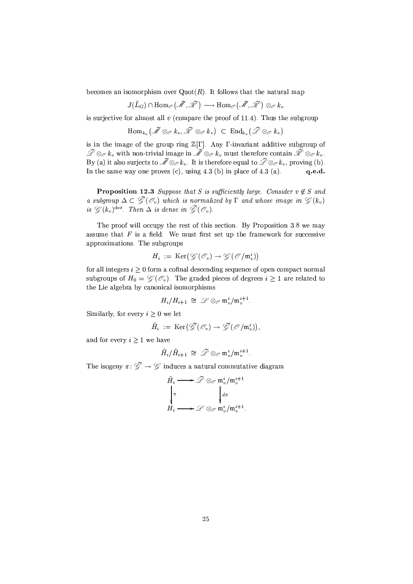becomes an isomorphism over  $Quot(R)$ . It follows that the natural map

$$
J(\tilde{L}_G)\cap {\rm Hom}_{\mathscr{O}}\big(\widetilde{\mathscr{M}},\widetilde{\mathscr{K}}\big)\longrightarrow {\rm Hom}_{\mathscr{O}}\big(\widetilde{\mathscr{M}},\widetilde{\mathscr{K}}\big)\otimes_{\mathscr{O}}k,
$$

is surjective for almost all  $v$  (compare the proof of 11.4). Thus the subgroup

$$
\mathrm{Hom}_{k_v}\big(\tilde{\mathscr{M}} \otimes_{\mathscr{O}} k_v, \tilde{\mathscr{K}} \otimes_{\mathscr{O}} k_v\big) \ \subset \ \mathrm{End}_{k_v}\big(\tilde{\mathscr{L}} \otimes_{\mathscr{O}} k_v\big)
$$

is in the image of the group ring  $\mathbb{Z}[\Gamma]$ . Any  $\Gamma$ -invariant additive subgroup of  $\widetilde{\mathscr{L}} \otimes_{\mathscr{O}} k_v$  with non-trivial image in  $\widetilde{\mathscr{M}} \otimes_{\mathscr{O}} k_v$  must therefore contain  $\widetilde{\mathscr{K}} \otimes_{\mathscr{O}} k_v$ .<br>By (a) it also surjects to  $\widetilde{\mathscr{M}} \otimes_{\mathscr{O}} k_v$ . It is therefore equal to  $\widetilde{\mathscr{L}} \otimes_{\mathscr$ In the same way one proves (c), using 4.3 (b) in place of 4.3 (a). q.e.d.

**Proposition 12.3** Suppose that S is sufficiently large. Consider  $v \notin S$  and a subgroup  $\Delta \subset \tilde{\mathscr{G}}(\mathcal{C}_v)$  which is normalized by  $\Gamma$  and whose image in  $\mathscr{G}(k_v)$ is  $\mathscr{G}(k_v)^{\text{der}}$ . Then  $\Delta$  is dense in  $\widetilde{\mathscr{G}}(\mathscr{O}_v)$ .

The proof will occupy the rest of this section. By Proposition 3.8 we may assume that  $F$  is a field. We must first set up the framework for successive approximations. The subgroups

$$
H_i := \operatorname{Ker}\nolimits(\mathscr{G}(\mathscr{O}_v) \to \mathscr{G}(\mathscr{O}/\mathfrak{m}_v^i))
$$

for all integers  $i \geq 0$  form a cofinal descending sequence of open compact normal subgroups of  $H_0 = \mathscr{G}(\mathscr{O}_v)$ . The graded pieces of degrees  $i \geq 1$  are related to the Lie algebra by canonical isomorphisms

$$
H_i/H_{i+1} \ \cong \ \mathscr{L} \otimes_{\mathscr{O}} \mathfrak{m}_v^i/\mathfrak{m}_v^{i+1}.
$$

Similarly, for every  $i > 0$  we let

$$
\tilde{H}_i \ := \ \operatorname{Ker}\bigl(\widetilde{\mathscr{G}}(\mathscr{O}_v) \to \widetilde{\mathscr{G}}(\mathscr{O}/\mathfrak{m}_v^i)\bigr),
$$

and for every  $i > 1$  we have

$$
\tilde{H}_i/\tilde{H}_{i+1} \;\cong\; \widetilde{\mathscr{L}} \otimes_{\mathscr{O}} \mathfrak{m}_v^i/\mathfrak{m}_v^{i+1}
$$

The isogeny  $\pi: \tilde{\mathscr{G}} \to \mathscr{G}$  induces a natural commutative diagram

$$
\tilde{H}_i \longrightarrow \tilde{\mathcal{L}} \otimes_{\mathcal{O}} \mathfrak{m}_v^i / \mathfrak{m}_v^{i+1}
$$
\n
$$
\downarrow_{\pi} \qquad \qquad \downarrow_{d\pi}
$$
\n
$$
H_i \longrightarrow \mathcal{L} \otimes_{\mathcal{O}} \mathfrak{m}_v^i / \mathfrak{m}_v^{i+1}.
$$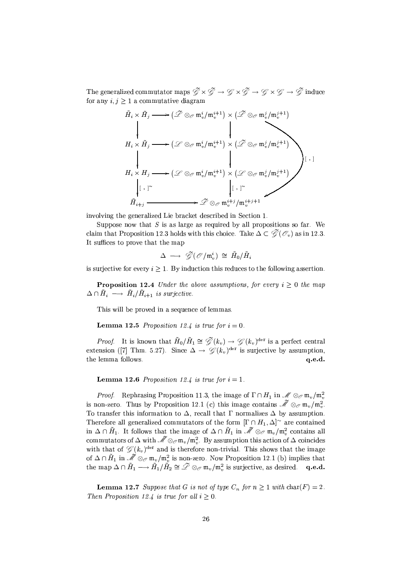The generalized commutator maps  $\widetilde{\mathscr{G}}\times\widetilde{\mathscr{G}}\to\mathscr{G}\times\widetilde{\mathscr{G}}\to\mathscr{G}\times\mathscr{G}\to\widetilde{\mathscr{G}}$  induce for any  $i, j \geq 1$  a commutative diagram

$$
\tilde{H}_{i} \times \tilde{H}_{j} \longrightarrow (\tilde{\mathcal{L}} \otimes_{\mathcal{O}} \mathfrak{m}_{v}^{i}/\mathfrak{m}_{v}^{i+1}) \times (\tilde{\mathcal{L}} \otimes_{\mathcal{O}} \mathfrak{m}_{v}^{j}/\mathfrak{m}_{v}^{j+1})
$$
\n
$$
\downarrow \qquad \qquad \downarrow
$$
\n
$$
H_{i} \times \tilde{H}_{j} \longrightarrow (\mathcal{L} \otimes_{\mathcal{O}} \mathfrak{m}_{v}^{i}/\mathfrak{m}_{v}^{i+1}) \times (\tilde{\mathcal{L}} \otimes_{\mathcal{O}} \mathfrak{m}_{v}^{j}/\mathfrak{m}_{v}^{j+1})
$$
\n
$$
\downarrow \qquad \qquad \downarrow
$$
\n
$$
H_{i} \times H_{j} \longrightarrow (\mathcal{L} \otimes_{\mathcal{O}} \mathfrak{m}_{v}^{i}/\mathfrak{m}_{v}^{i+1}) \times (\mathcal{L} \otimes_{\mathcal{O}} \mathfrak{m}_{v}^{j}/\mathfrak{m}_{v}^{j+1})
$$
\n
$$
\downarrow \qquad \qquad \downarrow
$$
\n
$$
\tilde{H}_{i+j} \longrightarrow \tilde{\mathcal{L}} \otimes_{\mathcal{O}} \mathfrak{m}_{v}^{i+j}/\mathfrak{m}_{v}^{i+j+1}
$$

involving the generalized Lie bracket described in Section 1.

Suppose now that  $S$  is as large as required by all propositions so far. We claim that Proposition 12.3 holds with this choice. Take  $\Delta \subset \tilde{\mathscr{G}}(\mathscr{O}_v)$  as in 12.3. It suffices to prove that the map

$$
\Delta \ \longrightarrow \ \widetilde{\mathscr{G}}(\mathscr{O}/\mathfrak{m}_v^i) \ \cong \ \tilde{H}_0/\tilde{H}
$$

is surjective for every  $i \geq 1$ . By induction this reduces to the following assertion.

**Proposition 12.4** Under the above assumptions, for every  $i \geq 0$  the map  $\Delta \cap \tilde{H}_i \longrightarrow \tilde{H}_i / \tilde{H}_{i+1}$  is surjective.

This will be proved in a sequence of lemmas.

**Lemma 12.5** Proposition 12.4 is true for  $i = 0$ .

*Proof.* It is known that  $\tilde{H}_0/\tilde{H}_1 \cong \tilde{\mathscr{G}}(k_v) \to \mathscr{G}(k_v)^{\text{der}}$  is a perfect central extension ([7] Thm. 5.27). Since  $\Delta \rightarrow \mathscr{G}(k_v)^{\text{der}}$  is surjective by assumption, the lemma follows. q.e.d.

**Lemma 12.6** Proposition 12.4 is true for  $i = 1$ .

*Proof.* Rephrasing Proposition 11.3, the image of  $\Gamma \cap H_1$  in  $\mathcal{M} \otimes_{\mathcal{O}} \mathfrak{m}_v / \mathfrak{m}_v^2$ is non-zero. Thus by Proposition 12.1 (c) this image contains  $\widetilde{\mathscr{M}} \otimes_{\mathscr{O}} \mathfrak{m}_v / \mathfrak{m}_v^2$ . To transfer this information to  $\Delta$ , recall that  $\Gamma$  normalizes  $\Delta$  by assumption. Therefore all generalized commutators of the form  $[\Gamma \cap H_1, \Delta]$ <sup>~</sup> are contained in  $\Delta \cap \tilde{H}_1$ . It follows that the image of  $\Delta \cap \tilde{H}_1$  in  $\mathcal{M} \otimes_{\mathcal{O}} m_v/m_v^2$  contains all commutators of  $\Delta$  with  $\widetilde{\mathcal{M}} \otimes_{\mathcal{O}} m_v/m_v^2$ . By assumption this action of  $\Delta$  coincides with that of  $\mathscr{G}(k_v)^{\text{der}}$  and is therefore non-trivial. This shows that the image of  $\Delta \cap \tilde{H}_1$  in  $\tilde{\mathcal{M}} \otimes_{\mathcal{O}} \mathfrak{m}_v / \mathfrak{m}_v^2$  is non-zero. Now Proposition 12.1 (b) implies that the map  $\Delta \cap \tilde{H}_1 \longrightarrow \tilde{H}_1/\tilde{H}_2 \cong \tilde{\mathscr{L}} \otimes_{\mathscr{O}} \mathfrak{m}_v/\mathfrak{m}_v^2$  is surjective, as desired. q.e.d.

**Lemma 12.7** Suppose that G is not of type  $C_n$  for  $n \ge 1$  with  $char(F) = 2$ . Then Proposition 12.4 is true for all  $i > 0$ .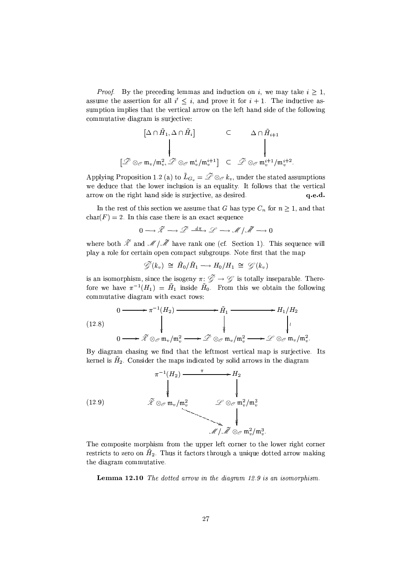*Proof.* By the preceding lemmas and induction on i, we may take  $i \geq 1$ , assume the assertion for all  $i' \leq i$ , and prove it for  $i + 1$ . The inductive assumption implies that the vertical arrow on the left hand side of the following commutative diagram is surjective:

$$
\begin{array}{ccc}\n[\Delta\cap\tilde{H}_{1},\Delta\cap\tilde{H}_{i}]\n\downarrow &\subset&\Delta\cap\tilde{H}_{i+1} \\
\downarrow&&\downarrow\\ \tilde{\mathscr{L}}\otimes_{\mathscr{O}}\mathfrak{m}_{v}/\mathfrak{m}_{v}^{2},\tilde{\mathscr{L}}\otimes_{\mathscr{O}}\mathfrak{m}_{v}^{i}/\mathfrak{m}_{v}^{i+1}]\n\end{array}
$$

Applying Proposition 1.2 (a) to  $\tilde{L}_{G_v} = \tilde{\mathcal{L}} \otimes_{\mathcal{O}} k_v$ , under the stated assumptions we deduce that the lower inclusion is an equality. It follows that the vertical arrow on the right hand side is surjective, as desired.  $q.e.d.$ 

 $\left\lceil \cdot \right\rceil$ 

In the rest of this section we assume that G has type  $C_n$  for  $n \geq 1$ , and that  $char(F) = 2$ . In this case there is an exact sequence

$$
0\longrightarrow \widetilde{\mathcal{X}}\longrightarrow \widetilde{\mathcal{L}}\stackrel{d\pi}{\longrightarrow} \mathcal{L}\longrightarrow \mathcal{M}\mid \widetilde{\mathcal{M}}\longrightarrow 0
$$

where both  $\widetilde{\mathcal{K}}$  and  $\mathcal{M}/\widetilde{\mathcal{M}}$  have rank one (cf. Section 1). This sequence will play a role for certain open compact subgroups. Note first that the map

$$
\widetilde{\mathscr{G}}(k_v) \cong \tilde{H}_0/\tilde{H}_1 \longrightarrow H_0/H_1 \cong \mathscr{G}(k_v)
$$

is an isomorphism, since the isogeny  $\pi: \tilde{\mathscr{G}} \to \mathscr{G}$  is totally inseparable. Therefore we have  $\pi^{-1}(H_1) = \tilde{H}_1$  inside  $\tilde{H}_0$ . From this we obtain the following commutative diagram with exact rows:

(12.8)  
\n
$$
0 \longrightarrow \pi^{-1}(H_2) \longrightarrow \widetilde{H}_1 \longrightarrow H_1/H_2
$$
\n
$$
\downarrow \qquad \qquad \downarrow \qquad \qquad \downarrow
$$
\n
$$
0 \longrightarrow \widetilde{\mathscr{X}} \otimes_{\mathscr{O}} \mathfrak{m}_v/\mathfrak{m}_v^2 \longrightarrow \widetilde{\mathscr{L}} \otimes_{\mathscr{O}} \mathfrak{m}_v/\mathfrak{m}_v^2 \longrightarrow \mathscr{L} \otimes_{\mathscr{O}} \mathfrak{m}_v/\mathfrak{m}_v^2.
$$

By diagram chasing we find that the leftmost vertical map is surjective. Its kernel is  $\tilde{H}_2$ . Consider the maps indicated by solid arrows in the diagram



The composite morphism from the upper left corner to the lower right corner restricts to zero on  $\tilde{H}_2$ . Thus it factors through a unique dotted arrow making the diagram commutative.

Lemma 12.10 The dotted arrow in the diagram 12.9 is an isomorphism.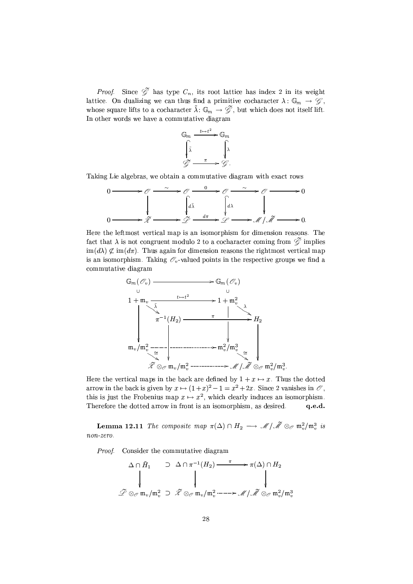*Proof.* Since  $\mathscr{G}$  has type  $C_n$ , its root lattice has index 2 in its weight lattice. On dualizing we can thus find a primitive cocharacter  $\lambda: \mathbb{G}_m \to \mathscr{G}$ , whose square lifts to a cocharacter  $\tilde{\lambda}: \mathbb{G}_m \to \tilde{\mathscr{G}}$ , but which does not itself lift. In other words we have a commutative diagram



Taking Lie algebras, we obtain a commutative diagram with exact rows

$$
0 \longrightarrow \mathcal{O} \longrightarrow \mathcal{O} \longrightarrow \mathcal{O} \longrightarrow \mathcal{O} \longrightarrow \mathcal{O} \longrightarrow 0
$$
  
\n
$$
\downarrow \qquad \qquad \downarrow \qquad \qquad \downarrow \qquad \downarrow
$$
  
\n
$$
0 \longrightarrow \widetilde{\mathcal{Z}} \longrightarrow \mathcal{D} \longrightarrow \mathcal{D} \longrightarrow \mathcal{A} \downarrow \widetilde{\mathcal{M}} \longrightarrow 0
$$

Here the leftmost vertical map is an isomorphism for dimension reasons. The fact that  $\lambda$  is not congruent modulo 2 to a cocharacter coming from  $\mathscr{G}$  implies  $\text{im}(d\lambda) \not\subset \text{im}(d\pi)$ . Thus again for dimension reasons the rightmost vertical map is an isomorphism. Taking  $\mathcal{O}_v$ -valued points in the respective groups we find a commutative diagram



Here the vertical maps in the back are defined by  $1 + x \mapsto x$ . Thus the dotted arrow in the back is given by  $x \mapsto (1+x)^2 - 1 = x^2 + 2x$ . Since 2 vanishes in  $\mathcal{O}$ , this is just the Frobenius map  $x \mapsto x^2$ , which clearly induces an isomorphism. Therefore the dotted arrow in front is an isomorphism, as desired.  $q.e.d.$ 

**Lemma 12.11** The composite map  $\pi(\Delta) \cap H_2 \longrightarrow \mathcal{M}/\tilde{\mathcal{M}} \otimes_{\mathcal{O}} \mathfrak{m}_v^2/\mathfrak{m}_v^3$  is  $non-zero.$ 

*Proof.* Consider the commutative diagram

$$
\begin{array}{ccc}\n\Delta \cap \tilde{H}_{1} & \supset \Delta \cap \pi^{-1}(H_{2}) \longrightarrow & \pi(\Delta) \cap H_{2} \\
\downarrow & & \downarrow & \downarrow \\
\mathcal{P} \otimes_{\mathcal{O}} \mathfrak{m}_{v}/\mathfrak{m}_{v}^{2} & \supset \tilde{\mathscr{X}} \otimes_{\mathcal{O}} \mathfrak{m}_{v}/\mathfrak{m}_{v}^{2} \longrightarrow & \mathscr{M} \mid \tilde{\mathscr{M}} \otimes_{\mathcal{O}} \mathfrak{m}_{v}^{2}/\mathfrak{m}_{v}^{3}\n\end{array}
$$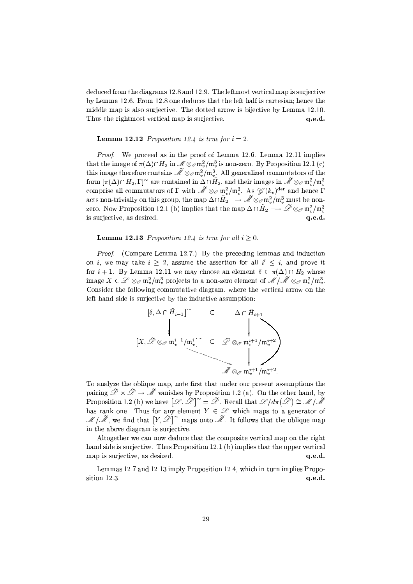deduced from the diagrams 12.8 and 12.9. The leftmost vertical map is surjective by Lemma 12.6. From 12.8 one deduces that the left half is cartesian; hence the middle map is also surjective. The dotted arrow is bijective by Lemma 12.10. Thus the rightmost vertical map is surjective. q.e.d.

### **Lemma 12.12** Proposition 12.4 is true for  $i = 2$ .

*Proof.* We proceed as in the proof of Lemma 12.6. Lemma 12.11 implies that the image of  $\pi(\Delta) \cap H_2$  in  $\mathcal{M} \otimes_{\mathcal{O}} m_n^2 / m_n^3$  is non-zero. By Proposition 12.1 (c) this image therefore contains  $\widetilde{\mathcal{M}} \otimes_{\mathcal{O}} \mathfrak{m}_n^2/\mathfrak{m}_n^3$ . All generalized commutators of the form  $[\pi(\Delta) \cap H_2, \Gamma]$ <sup>~</sup> are contained in  $\Delta \cap \tilde{H}_2$ , and their images in  $\widetilde{\mathcal{M}} \otimes_{\mathcal{O}} m_v^2/m_v^3$ comprise all commutators of  $\Gamma$  with  $\widetilde{\mathcal{M}} \otimes_{\mathcal{O}} \mathfrak{m}_v^2/\mathfrak{m}_v^3$ . As  $\mathcal{G}(k_v)^{\text{der}}$  and hence  $\Gamma$ acts non-trivially on this group, the map  $\Delta \cap \tilde{H}_2 \longrightarrow \tilde{\mathcal{M}} \otimes_{\mathcal{O}} m_v^2/m_v^3$  must be nonzero. Now Proposition 12.1 (b) implies that the map  $\Delta \cap \tilde{H}_2 \longrightarrow \tilde{\mathscr{L}} \otimes_{\mathscr{P}} \mathfrak{m}_n^2/m_n^3$ is surjective, as desired.  $a.e.d.$ 

### **Lemma 12.13** Proposition 12.4 is true for all  $i > 0$ .

*Proof.* (Compare Lemma 12.7.) By the preceding lemmas and induction on i, we may take  $i \geq 2$ , assume the assertion for all  $i' \leq i$ , and prove it for  $i + 1$ . By Lemma 12.11 we may choose an element  $\delta \in \pi(\Delta) \cap H_2$  whose image  $X \in \mathscr{L} \otimes_{\mathscr{O}} \mathfrak{m}_v^2/\mathfrak{m}_v^3$  projects to a non-zero element of  $\mathscr{M}/\mathscr{M} \otimes_{\mathscr{O}} \mathfrak{m}_v^2/\mathfrak{m}_v^3$ . Consider the following commutative diagram, where the vertical arrow on the left hand side is surjective by the inductive assumption:



To analyze the oblique map, note first that under our present assumptions the pairing  $\mathcal{Z} \times \mathcal{Z} \to \mathcal{M}$  vanishes by Proposition 1.2 (a). On the other hand, by<br>Proposition 1.2 (b) we have  $[\mathcal{L}, \tilde{\mathcal{Z}}]^{\sim} = \tilde{\mathcal{Z}}$ . Recall that  $\mathcal{L}/d\pi(\tilde{\mathcal{Z}}) \cong \mathcal{M}/\tilde{\mathcal{M}}$ has rank one. Thus for any element  $Y \in \mathcal{L}$  which maps to a generator of  $\mathcal{M}/\tilde{\mathcal{M}}$ , we find that  $[Y,\tilde{\mathcal{L}}]$ <sup>~</sup> maps onto  $\tilde{\mathcal{M}}$ . It follows that the oblique map in the above diagram is surjective.

Altogether we can now deduce that the composite vertical map on the right hand side is surjective. Thus Proposition 12.1 (b) implies that the upper vertical map is surjective, as desired. q.e.d.

Lemmas 12.7 and 12.13 imply Proposition 12.4, which in turn implies Proposition 12.3. q.e.d.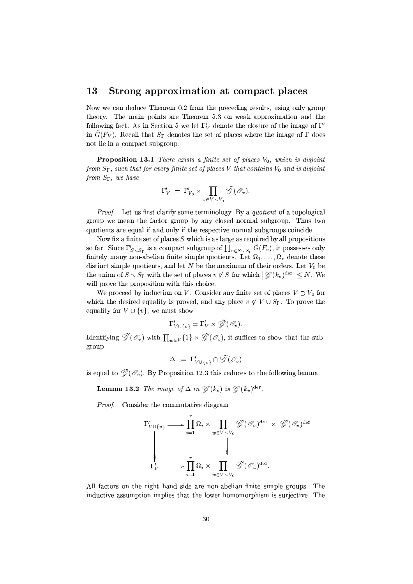#### 13 Strong approximation at compact places

Now we can deduce Theorem 0.2 from the preceding results, using only group theory. The main points are Theorem 5.3 on weak approximation and the following fact. As in Section 5 we let  $\Gamma'_{V}$  denote the closure of the image of  $\Gamma'$ in  $\tilde{G}(F_V)$ . Recall that  $S_{\Gamma}$  denotes the set of places where the image of  $\Gamma$  does not lie in a compact subgroup

**Proposition 13.1** There exists a finite set of places  $V_0$ , which is disjoint from  $S_{\Gamma}$ , such that for every finite set of places V that contains  $V_0$  and is disjoint from  $S_{\Gamma}$ , we have

$$
\Gamma'_V = \Gamma'_{V_0} \times \prod_{v \in V \smallsetminus V_0} \tilde{\mathscr{G}}(\mathscr{O}_v)
$$

*Proof.* Let us first clarify some terminology. By a *quotient* of a topological group we mean the factor group by any closed normal subgroup. Thus two quotients are equal if and only if the respective normal subgroups coincide.

Now fix a finite set of places  $S$  which is as large as required by all propositions so far. Since  $\Gamma'_{S\setminus S_\Gamma}$  is a compact subgroup of  $\prod_{v\in S\setminus S_\Gamma} \tilde{G}(F_v)$ , it possesses only finitely many non-abelian finite simple quotients. Let  $\Omega_1, \ldots, \Omega_r$  denote these distinct simple quotients, and let  $N$  be the maximum of their orders. Let  $V_0$  be the union of  $S \setminus S_{\Gamma}$  with the set of places  $v \notin S$  for which  $|\mathscr{G}(k_v)^{\text{der}}| \leq N$ . We will prove the proposition with this choice.

We proceed by induction on V. Consider any finite set of places  $V \supset V_0$  for which the desired equality is proved, and any place  $v \notin V \cup S_{\Gamma}$ . To prove the equality for  $V \cup \{v\}$ , we must show

$$
\Gamma'_{V\cup\{v\}} = \Gamma'_V \times \widetilde{\mathscr{G}}(\mathscr{O}_v).
$$

Identifying  $\tilde{\mathscr{G}}(\mathscr{O}_v)$  with  $\prod_{v\in V}\{1\}\times\tilde{\mathscr{G}}(\mathscr{O}_v)$ , it suffices to show that the subgroup

$$
\Delta \;:=\; \Gamma'_{V \cup \{v\}} \cap \tilde{\mathscr{G}}(\mathscr{O}_v)
$$

is equal to  $\mathscr{G}(\mathscr{O}_v)$ . By Proposition 12.3 this reduces to the following lemma.

**Lemma 13.2** The image of  $\Delta$  in  $\mathscr{L}(k_v)$  is  $\mathscr{L}(k_v)^{\text{der}}$ .

Proof. Consider the commutative diagram

$$
\Gamma'_{V \cup \{v\}} \longrightarrow \prod_{i=1}^{r} \Omega_i \times \prod_{w \in V \setminus V_0} \widetilde{\mathscr{G}}(\mathcal{O}_w)^{\text{der}} \times \widetilde{\mathscr{G}}(\mathcal{O}_v)^{\text{der}}
$$
\n
$$
\downarrow \qquad \qquad \downarrow
$$
\n
$$
\Gamma'_V \longrightarrow \prod_{i=1}^{r} \Omega_i \times \prod_{w \in V \setminus V_0} \widetilde{\mathscr{G}}(\mathcal{O}_w)^{\text{der}}.
$$

All factors on the right hand side are non-abelian finite simple groups. The inductive assumption implies that the lower homomorphism is surjective. The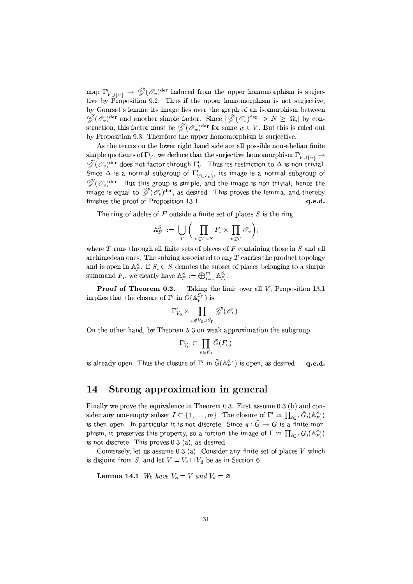map  $\Gamma'_{V \cup \{v\}} \to \tilde{\mathscr{G}}(\mathscr{O}_v)^{\text{der}}$  induced from the upper homomorphism is surjective by Proposition 9.2. Thus if the upper homomorphism is not surjective, by Goursat's lemma its image lies over the graph of an isomorphism between  $\widetilde{\mathscr{G}}(\mathscr{O}_v)^{\text{der}}$  and another simple factor. Since  $|\widetilde{\mathscr{G}}(\mathscr{O}_v)^{\text{der}}| > N \geq |\Omega_i|$  by construction, this factor must be  $\widetilde{\mathscr{G}}(\mathscr{O}_w)^{\mathrm{der}}$  for some  $w \in V$ . But this is ruled out by Proposition 9.3. Therefore the upper homomorphism is surjective.

As the terms on the lower right hand side are all possible non-abelian finite simple quotients of  $\Gamma'_V$ , we deduce that the surjective homomorphism  $\Gamma'_{V \cup \{v\}} \to$  $\widetilde{\mathscr{G}}(\mathscr{O}_v)^{\mathrm{der}}$  does not factor through  $\Gamma'_V$ . Thus its restriction to  $\Delta$  is non-trivial. Since  $\Delta$  is a normal subgroup of  $\Gamma'_{V \cup \{v\}}$ , its image is a normal subgroup of  $\widetilde{\mathscr{G}}(\mathscr{O}_v)^{\text{der}}$ . But this group is simple, and the image is non-trivial; hence the image is equal to  $\tilde{\mathscr{G}}(\mathscr{O}_n)^{\text{der}},$  as desired. This proves the lemma, and thereby finishes the proof of Proposition 13.1. q.e.d.

The ring of adeles of  $F$  outside a finite set of places  $S$  is the ring

$$
\mathbb{A}_F^S := \bigcup_T \bigg( \prod_{v \in T \setminus S} F_v \times \prod_{v \notin T} \mathscr{O}_v \bigg),
$$

where  $T$  runs through all finite sets of places of  $F$  containing those in  $S$  and all archimedean ones. The subring associated to any  $T$  carries the product topology and is open in  $\mathbb{A}_F^S$ . If  $S_i \subset S$  denotes the subset of places belonging to a simple summand  $F_i$ , we clearly have  $\mathbb{A}_F^S := \bigoplus_{i=1}^m \mathbb{A}_{F_i}^{S_i}$ .

**Proof of Theorem 0.2.** Taking the limit over all  $V$ , Proposition 13.1 implies that the closure of  $\Gamma'$  in  $\tilde{G}(\mathbb{A}_F^{S_{\Gamma}})$  is

$$
\Gamma'_{V_0}\times\prod_{v\notin V_0\cup S_{\Gamma}}\widetilde{\mathscr{G}}(\mathscr{O}_v).
$$

On the other hand, by Theorem 5.3 on weak approximation the subgroup

$$
\Gamma'_{V_0}\subset \prod_{v\in V_0}\tilde{G}(F_v
$$

is already open. Thus the closure of  $\Gamma'$  in  $\tilde{G}(\mathbb{A}_F^{S_{\Gamma}})$  is open, as desired.  $a.e.d.$ 

#### Strong approximation in general 14

Finally we prove the equivalence in Theorem 0.3. First assume 0.3 (b) and consider any non-empty subset  $I \subset \{1, ..., m\}$ . The closure of  $\Gamma'$  in  $\prod_{i \in I} \tilde{G}_i(\mathbb{A}_{F_i}^{S_i})$ is then open. In particular it is not discrete. Since  $\pi: \tilde{G} \to G$  is a finite morphism, it preserves this property, so a fortiori the image of  $\Gamma$  in  $\prod_{i \in I} G_i(\mathbb{A}_{F_i}^{S_i})$ is not discrete. This proves  $0.3$  (a), as desired.

Conversely, let us assume 0.3 (a). Consider any finite set of places  $V$  which is disjoint from S, and let  $V = V_o \sqcup V_d$  be as in Section 6.

**Lemma 14.1** We have  $V_o = V$  and  $V_d = \emptyset$ .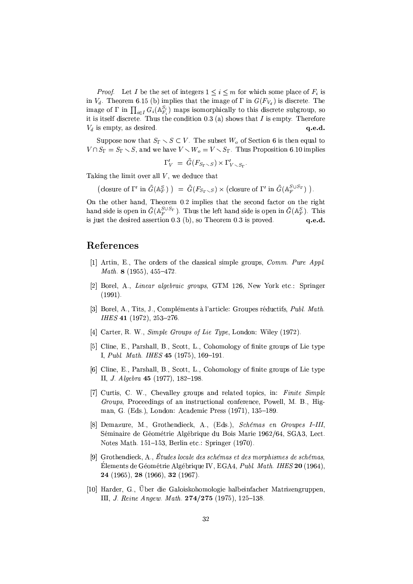*Proof.* Let I be the set of integers  $1 \leq i \leq m$  for which some place of  $F_i$  is in  $V_d$ . Theorem 6.15 (b) implies that the image of  $\Gamma$  in  $G(F_{V_d})$  is discrete. The image of  $\Gamma$  in  $\prod_{i\in I} G_i(\mathbb{A}_{F_i}^{S_i})$  maps isomorphically to this discrete subgroup, so it is itself discrete. Thus the condition  $0.3$  (a) shows that I is empty. Therefore  $V_d$  is empty, as desired.  $q.e.d.$ 

Suppose now that  $S_{\Gamma} \setminus S \subset V$ . The subset  $W_o$  of Section 6 is then equal to  $V \cap S_{\Gamma} = S_{\Gamma} \setminus S$ , and we have  $V \setminus W_o = V \setminus S_{\Gamma}$ . Thus Proposition 6.10 implies

$$
\Gamma_V' = G(F_{S_{\Gamma} \setminus S}) \times \Gamma_{V \setminus S_{\Gamma}}'.
$$

Taking the limit over all  $V$ , we deduce that

(closure of  $\Gamma'$  in  $\tilde{G}(\mathbb{A}_F^S)$ ) =  $\tilde{G}(F_{S_{\Gamma} \setminus S}) \times$  (closure of  $\Gamma'$  in  $\tilde{G}(\mathbb{A}_F^{S \cup S_{\Gamma}})$ ).

On the other hand, Theorem 0.2 implies that the second factor on the right hand side is open in  $\tilde{G}(\mathbb{A}_{\overline{F}}^{S \cup S_{\Gamma}})$ . Thus the left hand side is open in  $\tilde{G}(\mathbb{A}_{\overline{F}}^{S})$ . This is just the desired assertion  $0.3$  (b), so Theorem  $0.3$  is proved.  $q.e.d.$ 

# References

- [1] Artin, E., The orders of the classical simple groups,  $Comm. Pure$  Appl. Math. 8  $(1955)$ , 455-472
- [2] Borel, A., Linear algebraic groups, GTM 126, New York etc.: Springer  $(1991).$
- [3] Borel, A., Tits, J., Compléments à l'article: Groupes réductifs, *Publ. Math.* IHES 41 (1972), 253-276
- [4] Carter, R. W., Simple Groups of Lie Type, London: Wiley (1972).
- [5] Cline, E., Parshall, B., Scott, L., Cohomology of finite groups of Lie type I, Publ. Math. IHES 45 (1975), 169-191.
- [6] Cline, E., Parshall, B., Scott, L., Cohomology of finite groups of Lie type II, J. Algebra 45 (1977), 182-198.
- [7] Curtis, C. W., Chevalley groups and related topics, in: Finite Simple Groups, Proceedings of an instructional conference, Powell, M. B., Higman, G. (Eds.), London: Academic Press (1971), 135-189.
- [8] Demazure, M., Grothendieck, A., (Eds.), Schémas en Groupes I-III, Séminaire de Géométrie Algébrique du Bois Marie 1962/64, SGA3, Lect. Notes Math. 151-153, Berlin etc.: Springer (1970).
- [9] Grothendieck, A., Études locale des schémas et des morphismes de schémas, Élements de Géométrie Algébrique IV, EGA4, Publ. Math. IHES 20 (1964), 24 (1965), 28 (1966), 32 (1967).
- [10] Harder, G., Über die Galoiskohomologie halbeinfacher Matrizengruppen, III, J. Reine Angew. Math. 274/275 (1975), 125-138